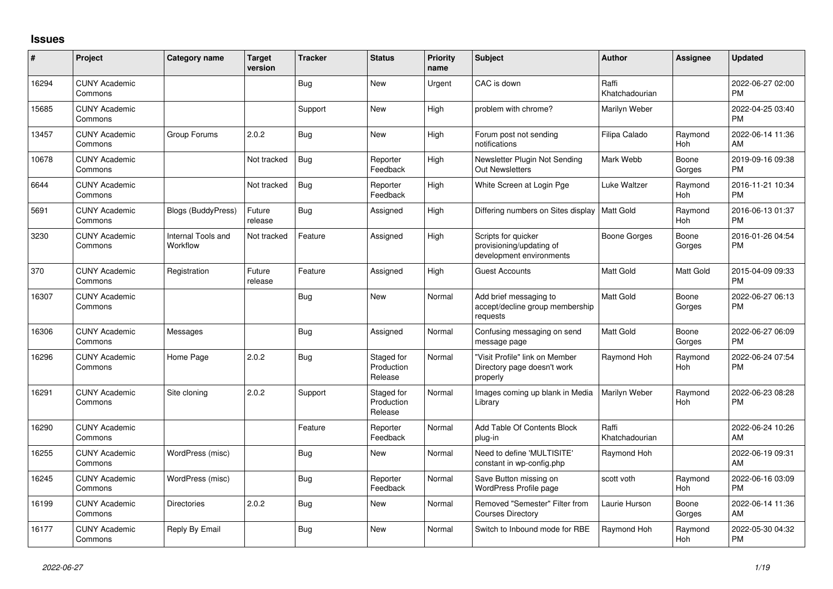## **Issues**

| #     | Project                         | <b>Category name</b>           | <b>Target</b><br>version | <b>Tracker</b> | <b>Status</b>                       | <b>Priority</b><br>name | <b>Subject</b>                                                              | Author                  | Assignee         | <b>Updated</b>                |
|-------|---------------------------------|--------------------------------|--------------------------|----------------|-------------------------------------|-------------------------|-----------------------------------------------------------------------------|-------------------------|------------------|-------------------------------|
| 16294 | <b>CUNY Academic</b><br>Commons |                                |                          | Bug            | <b>New</b>                          | Urgent                  | CAC is down                                                                 | Raffi<br>Khatchadourian |                  | 2022-06-27 02:00<br><b>PM</b> |
| 15685 | <b>CUNY Academic</b><br>Commons |                                |                          | Support        | <b>New</b>                          | High                    | problem with chrome?                                                        | Marilyn Weber           |                  | 2022-04-25 03:40<br><b>PM</b> |
| 13457 | <b>CUNY Academic</b><br>Commons | Group Forums                   | 2.0.2                    | <b>Bug</b>     | New                                 | High                    | Forum post not sending<br>notifications                                     | Filipa Calado           | Raymond<br>Hoh   | 2022-06-14 11:36<br>AM        |
| 10678 | <b>CUNY Academic</b><br>Commons |                                | Not tracked              | <b>Bug</b>     | Reporter<br>Feedback                | High                    | Newsletter Plugin Not Sending<br><b>Out Newsletters</b>                     | Mark Webb               | Boone<br>Gorges  | 2019-09-16 09:38<br><b>PM</b> |
| 6644  | <b>CUNY Academic</b><br>Commons |                                | Not tracked              | <b>Bug</b>     | Reporter<br>Feedback                | High                    | White Screen at Login Pge                                                   | Luke Waltzer            | Raymond<br>Hoh   | 2016-11-21 10:34<br><b>PM</b> |
| 5691  | <b>CUNY Academic</b><br>Commons | <b>Blogs (BuddyPress)</b>      | Future<br>release        | <b>Bug</b>     | Assigned                            | High                    | Differing numbers on Sites display                                          | Matt Gold               | Raymond<br>Hoh   | 2016-06-13 01:37<br>PM        |
| 3230  | <b>CUNY Academic</b><br>Commons | Internal Tools and<br>Workflow | Not tracked              | Feature        | Assigned                            | High                    | Scripts for quicker<br>provisioning/updating of<br>development environments | <b>Boone Gorges</b>     | Boone<br>Gorges  | 2016-01-26 04:54<br><b>PM</b> |
| 370   | <b>CUNY Academic</b><br>Commons | Registration                   | Future<br>release        | Feature        | Assigned                            | High                    | <b>Guest Accounts</b>                                                       | Matt Gold               | <b>Matt Gold</b> | 2015-04-09 09:33<br>PМ        |
| 16307 | <b>CUNY Academic</b><br>Commons |                                |                          | <b>Bug</b>     | <b>New</b>                          | Normal                  | Add brief messaging to<br>accept/decline group membership<br>requests       | Matt Gold               | Boone<br>Gorges  | 2022-06-27 06:13<br>PМ        |
| 16306 | <b>CUNY Academic</b><br>Commons | Messages                       |                          | <b>Bug</b>     | Assigned                            | Normal                  | Confusing messaging on send<br>message page                                 | Matt Gold               | Boone<br>Gorges  | 2022-06-27 06:09<br><b>PM</b> |
| 16296 | <b>CUNY Academic</b><br>Commons | Home Page                      | 2.0.2                    | <b>Bug</b>     | Staged for<br>Production<br>Release | Normal                  | "Visit Profile" link on Member<br>Directory page doesn't work<br>properly   | Raymond Hoh             | Raymond<br>Hoh   | 2022-06-24 07:54<br><b>PM</b> |
| 16291 | <b>CUNY Academic</b><br>Commons | Site cloning                   | 2.0.2                    | Support        | Staged for<br>Production<br>Release | Normal                  | Images coming up blank in Media<br>Library                                  | Marilyn Weber           | Raymond<br>Hoh   | 2022-06-23 08:28<br><b>PM</b> |
| 16290 | <b>CUNY Academic</b><br>Commons |                                |                          | Feature        | Reporter<br>Feedback                | Normal                  | Add Table Of Contents Block<br>plug-in                                      | Raffi<br>Khatchadourian |                  | 2022-06-24 10:26<br>AM        |
| 16255 | <b>CUNY Academic</b><br>Commons | WordPress (misc)               |                          | <b>Bug</b>     | <b>New</b>                          | Normal                  | Need to define 'MULTISITE'<br>constant in wp-config.php                     | Raymond Hoh             |                  | 2022-06-19 09:31<br>AM        |
| 16245 | <b>CUNY Academic</b><br>Commons | WordPress (misc)               |                          | Bug            | Reporter<br>Feedback                | Normal                  | Save Button missing on<br>WordPress Profile page                            | scott voth              | Raymond<br>Hoh   | 2022-06-16 03:09<br><b>PM</b> |
| 16199 | <b>CUNY Academic</b><br>Commons | <b>Directories</b>             | 2.0.2                    | <b>Bug</b>     | New                                 | Normal                  | Removed "Semester" Filter from<br><b>Courses Directory</b>                  | Laurie Hurson           | Boone<br>Gorges  | 2022-06-14 11:36<br>AM        |
| 16177 | <b>CUNY Academic</b><br>Commons | Reply By Email                 |                          | <b>Bug</b>     | <b>New</b>                          | Normal                  | Switch to Inbound mode for RBE                                              | Raymond Hoh             | Raymond<br>Hoh   | 2022-05-30 04:32<br><b>PM</b> |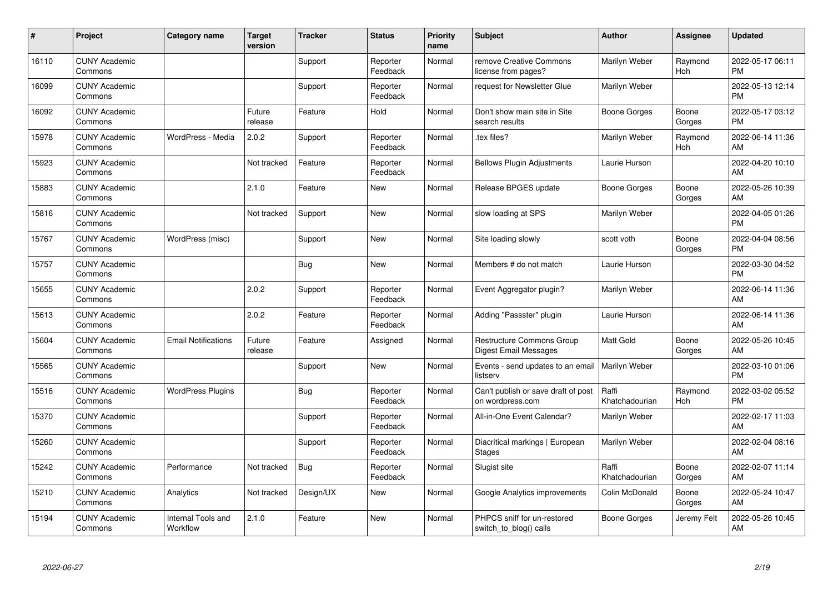| #     | Project                         | Category name                  | <b>Target</b><br>version | <b>Tracker</b> | <b>Status</b>        | <b>Priority</b><br>name | <b>Subject</b>                                            | <b>Author</b>           | <b>Assignee</b> | <b>Updated</b>                |
|-------|---------------------------------|--------------------------------|--------------------------|----------------|----------------------|-------------------------|-----------------------------------------------------------|-------------------------|-----------------|-------------------------------|
| 16110 | <b>CUNY Academic</b><br>Commons |                                |                          | Support        | Reporter<br>Feedback | Normal                  | remove Creative Commons<br>license from pages?            | Marilyn Weber           | Raymond<br>Hoh  | 2022-05-17 06:11<br><b>PM</b> |
| 16099 | <b>CUNY Academic</b><br>Commons |                                |                          | Support        | Reporter<br>Feedback | Normal                  | request for Newsletter Glue                               | Marilyn Weber           |                 | 2022-05-13 12:14<br><b>PM</b> |
| 16092 | <b>CUNY Academic</b><br>Commons |                                | Future<br>release        | Feature        | Hold                 | Normal                  | Don't show main site in Site<br>search results            | <b>Boone Gorges</b>     | Boone<br>Gorges | 2022-05-17 03:12<br><b>PM</b> |
| 15978 | <b>CUNY Academic</b><br>Commons | WordPress - Media              | 2.0.2                    | Support        | Reporter<br>Feedback | Normal                  | tex files?                                                | Marilyn Weber           | Raymond<br>Hoh  | 2022-06-14 11:36<br>AM        |
| 15923 | <b>CUNY Academic</b><br>Commons |                                | Not tracked              | Feature        | Reporter<br>Feedback | Normal                  | <b>Bellows Plugin Adjustments</b>                         | Laurie Hurson           |                 | 2022-04-20 10:10<br>AM        |
| 15883 | <b>CUNY Academic</b><br>Commons |                                | 2.1.0                    | Feature        | <b>New</b>           | Normal                  | Release BPGES update                                      | <b>Boone Gorges</b>     | Boone<br>Gorges | 2022-05-26 10:39<br>AM        |
| 15816 | <b>CUNY Academic</b><br>Commons |                                | Not tracked              | Support        | <b>New</b>           | Normal                  | slow loading at SPS                                       | Marilyn Weber           |                 | 2022-04-05 01:26<br><b>PM</b> |
| 15767 | <b>CUNY Academic</b><br>Commons | WordPress (misc)               |                          | Support        | <b>New</b>           | Normal                  | Site loading slowly                                       | scott voth              | Boone<br>Gorges | 2022-04-04 08:56<br><b>PM</b> |
| 15757 | <b>CUNY Academic</b><br>Commons |                                |                          | <b>Bug</b>     | <b>New</b>           | Normal                  | Members # do not match                                    | Laurie Hurson           |                 | 2022-03-30 04:52<br><b>PM</b> |
| 15655 | <b>CUNY Academic</b><br>Commons |                                | 2.0.2                    | Support        | Reporter<br>Feedback | Normal                  | Event Aggregator plugin?                                  | Marilyn Weber           |                 | 2022-06-14 11:36<br>AM        |
| 15613 | <b>CUNY Academic</b><br>Commons |                                | 2.0.2                    | Feature        | Reporter<br>Feedback | Normal                  | Adding "Passster" plugin                                  | Laurie Hurson           |                 | 2022-06-14 11:36<br>AM        |
| 15604 | <b>CUNY Academic</b><br>Commons | <b>Email Notifications</b>     | Future<br>release        | Feature        | Assigned             | Normal                  | <b>Restructure Commons Group</b><br>Digest Email Messages | Matt Gold               | Boone<br>Gorges | 2022-05-26 10:45<br>AM        |
| 15565 | <b>CUNY Academic</b><br>Commons |                                |                          | Support        | <b>New</b>           | Normal                  | Events - send updates to an email<br>listserv             | Marilyn Weber           |                 | 2022-03-10 01:06<br><b>PM</b> |
| 15516 | <b>CUNY Academic</b><br>Commons | <b>WordPress Plugins</b>       |                          | Bug            | Reporter<br>Feedback | Normal                  | Can't publish or save draft of post<br>on wordpress.com   | Raffi<br>Khatchadourian | Raymond<br>Hoh  | 2022-03-02 05:52<br><b>PM</b> |
| 15370 | <b>CUNY Academic</b><br>Commons |                                |                          | Support        | Reporter<br>Feedback | Normal                  | All-in-One Event Calendar?                                | Marilyn Weber           |                 | 2022-02-17 11:03<br>AM        |
| 15260 | <b>CUNY Academic</b><br>Commons |                                |                          | Support        | Reporter<br>Feedback | Normal                  | Diacritical markings   European<br><b>Stages</b>          | Marilyn Weber           |                 | 2022-02-04 08:16<br>AM        |
| 15242 | <b>CUNY Academic</b><br>Commons | Performance                    | Not tracked              | <b>Bug</b>     | Reporter<br>Feedback | Normal                  | Slugist site                                              | Raffi<br>Khatchadourian | Boone<br>Gorges | 2022-02-07 11:14<br>AM        |
| 15210 | <b>CUNY Academic</b><br>Commons | Analytics                      | Not tracked              | Design/UX      | New                  | Normal                  | Google Analytics improvements                             | Colin McDonald          | Boone<br>Gorges | 2022-05-24 10:47<br>AM        |
| 15194 | <b>CUNY Academic</b><br>Commons | Internal Tools and<br>Workflow | 2.1.0                    | Feature        | <b>New</b>           | Normal                  | PHPCS sniff for un-restored<br>switch_to_blog() calls     | Boone Gorges            | Jeremy Felt     | 2022-05-26 10:45<br>AM        |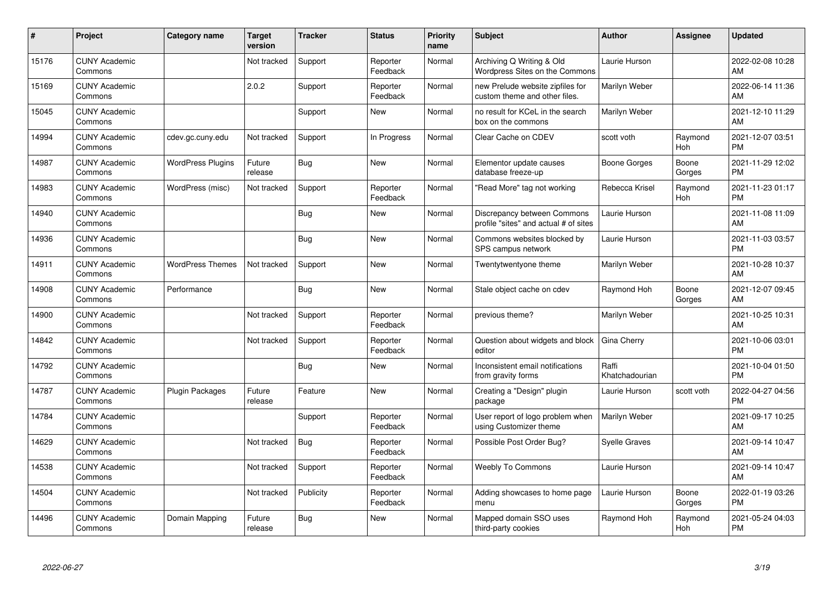| #     | Project                         | <b>Category name</b>     | <b>Target</b><br>version | <b>Tracker</b> | <b>Status</b>        | <b>Priority</b><br>name | <b>Subject</b>                                                       | Author                  | <b>Assignee</b> | <b>Updated</b>                |
|-------|---------------------------------|--------------------------|--------------------------|----------------|----------------------|-------------------------|----------------------------------------------------------------------|-------------------------|-----------------|-------------------------------|
| 15176 | <b>CUNY Academic</b><br>Commons |                          | Not tracked              | Support        | Reporter<br>Feedback | Normal                  | Archiving Q Writing & Old<br>Wordpress Sites on the Commons          | Laurie Hurson           |                 | 2022-02-08 10:28<br>AM        |
| 15169 | <b>CUNY Academic</b><br>Commons |                          | 2.0.2                    | Support        | Reporter<br>Feedback | Normal                  | new Prelude website zipfiles for<br>custom theme and other files.    | Marilyn Weber           |                 | 2022-06-14 11:36<br>AM        |
| 15045 | <b>CUNY Academic</b><br>Commons |                          |                          | Support        | New                  | Normal                  | no result for KCeL in the search<br>box on the commons               | Marilyn Weber           |                 | 2021-12-10 11:29<br>AM        |
| 14994 | <b>CUNY Academic</b><br>Commons | cdev.gc.cuny.edu         | Not tracked              | Support        | In Progress          | Normal                  | Clear Cache on CDEV                                                  | scott voth              | Raymond<br>Hoh  | 2021-12-07 03:51<br><b>PM</b> |
| 14987 | <b>CUNY Academic</b><br>Commons | <b>WordPress Plugins</b> | Future<br>release        | Bug            | <b>New</b>           | Normal                  | Elementor update causes<br>database freeze-up                        | Boone Gorges            | Boone<br>Gorges | 2021-11-29 12:02<br><b>PM</b> |
| 14983 | <b>CUNY Academic</b><br>Commons | WordPress (misc)         | Not tracked              | Support        | Reporter<br>Feedback | Normal                  | "Read More" tag not working                                          | Rebecca Krisel          | Raymond<br>Hoh  | 2021-11-23 01:17<br><b>PM</b> |
| 14940 | <b>CUNY Academic</b><br>Commons |                          |                          | Bug            | <b>New</b>           | Normal                  | Discrepancy between Commons<br>profile "sites" and actual # of sites | Laurie Hurson           |                 | 2021-11-08 11:09<br>AM        |
| 14936 | <b>CUNY Academic</b><br>Commons |                          |                          | Bug            | <b>New</b>           | Normal                  | Commons websites blocked by<br>SPS campus network                    | Laurie Hurson           |                 | 2021-11-03 03:57<br><b>PM</b> |
| 14911 | <b>CUNY Academic</b><br>Commons | <b>WordPress Themes</b>  | Not tracked              | Support        | <b>New</b>           | Normal                  | Twentytwentyone theme                                                | Marilyn Weber           |                 | 2021-10-28 10:37<br>AM        |
| 14908 | <b>CUNY Academic</b><br>Commons | Performance              |                          | <b>Bug</b>     | <b>New</b>           | Normal                  | Stale object cache on cdev                                           | Raymond Hoh             | Boone<br>Gorges | 2021-12-07 09:45<br>AM        |
| 14900 | <b>CUNY Academic</b><br>Commons |                          | Not tracked              | Support        | Reporter<br>Feedback | Normal                  | previous theme?                                                      | Marilyn Weber           |                 | 2021-10-25 10:31<br>AM        |
| 14842 | <b>CUNY Academic</b><br>Commons |                          | Not tracked              | Support        | Reporter<br>Feedback | Normal                  | Question about widgets and block<br>editor                           | Gina Cherry             |                 | 2021-10-06 03:01<br><b>PM</b> |
| 14792 | <b>CUNY Academic</b><br>Commons |                          |                          | Bug            | New                  | Normal                  | Inconsistent email notifications<br>from gravity forms               | Raffi<br>Khatchadourian |                 | 2021-10-04 01:50<br><b>PM</b> |
| 14787 | <b>CUNY Academic</b><br>Commons | Plugin Packages          | Future<br>release        | Feature        | New                  | Normal                  | Creating a "Design" plugin<br>package                                | Laurie Hurson           | scott voth      | 2022-04-27 04:56<br>PM        |
| 14784 | <b>CUNY Academic</b><br>Commons |                          |                          | Support        | Reporter<br>Feedback | Normal                  | User report of logo problem when<br>using Customizer theme           | Marilyn Weber           |                 | 2021-09-17 10:25<br>AM        |
| 14629 | <b>CUNY Academic</b><br>Commons |                          | Not tracked              | Bug            | Reporter<br>Feedback | Normal                  | Possible Post Order Bug?                                             | <b>Syelle Graves</b>    |                 | 2021-09-14 10:47<br>AM        |
| 14538 | <b>CUNY Academic</b><br>Commons |                          | Not tracked              | Support        | Reporter<br>Feedback | Normal                  | <b>Weebly To Commons</b>                                             | Laurie Hurson           |                 | 2021-09-14 10:47<br>AM        |
| 14504 | <b>CUNY Academic</b><br>Commons |                          | Not tracked              | Publicity      | Reporter<br>Feedback | Normal                  | Adding showcases to home page<br>menu                                | Laurie Hurson           | Boone<br>Gorges | 2022-01-19 03:26<br><b>PM</b> |
| 14496 | <b>CUNY Academic</b><br>Commons | Domain Mapping           | Future<br>release        | Bug            | <b>New</b>           | Normal                  | Mapped domain SSO uses<br>third-party cookies                        | Raymond Hoh             | Raymond<br>Hoh  | 2021-05-24 04:03<br><b>PM</b> |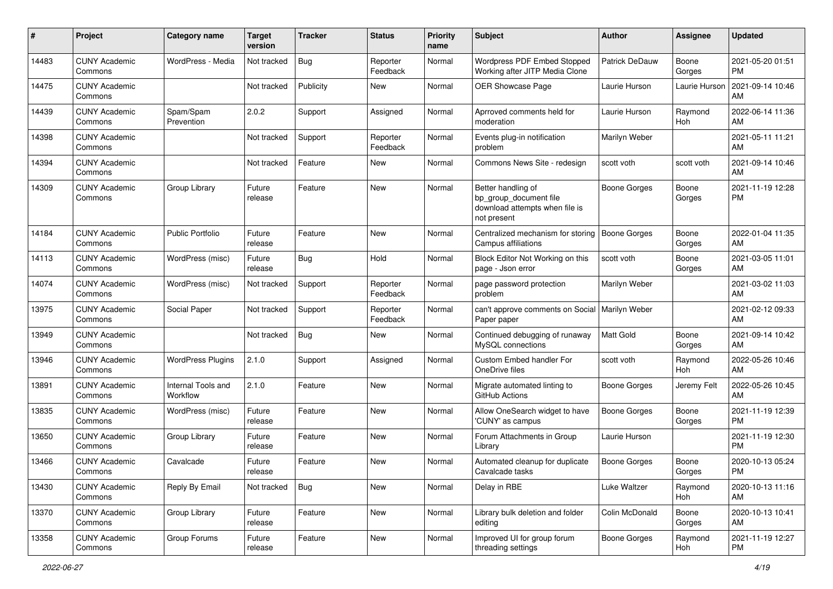| #     | Project                         | <b>Category name</b>           | <b>Target</b><br>version | <b>Tracker</b> | <b>Status</b>        | <b>Priority</b><br>name | Subject                                                                                       | <b>Author</b>         | Assignee        | <b>Updated</b>                |
|-------|---------------------------------|--------------------------------|--------------------------|----------------|----------------------|-------------------------|-----------------------------------------------------------------------------------------------|-----------------------|-----------------|-------------------------------|
| 14483 | <b>CUNY Academic</b><br>Commons | WordPress - Media              | Not tracked              | Bug            | Reporter<br>Feedback | Normal                  | Wordpress PDF Embed Stopped<br>Working after JITP Media Clone                                 | <b>Patrick DeDauw</b> | Boone<br>Gorges | 2021-05-20 01:51<br><b>PM</b> |
| 14475 | <b>CUNY Academic</b><br>Commons |                                | Not tracked              | Publicity      | New                  | Normal                  | <b>OER Showcase Page</b>                                                                      | Laurie Hurson         | Laurie Hurson   | 2021-09-14 10:46<br>AM        |
| 14439 | <b>CUNY Academic</b><br>Commons | Spam/Spam<br>Prevention        | 2.0.2                    | Support        | Assigned             | Normal                  | Aprroved comments held for<br>moderation                                                      | Laurie Hurson         | Raymond<br>Hoh  | 2022-06-14 11:36<br>AM        |
| 14398 | <b>CUNY Academic</b><br>Commons |                                | Not tracked              | Support        | Reporter<br>Feedback | Normal                  | Events plug-in notification<br>problem                                                        | Marilyn Weber         |                 | 2021-05-11 11:21<br>AM        |
| 14394 | <b>CUNY Academic</b><br>Commons |                                | Not tracked              | Feature        | New                  | Normal                  | Commons News Site - redesign                                                                  | scott voth            | scott voth      | 2021-09-14 10:46<br>AM        |
| 14309 | <b>CUNY Academic</b><br>Commons | Group Library                  | Future<br>release        | Feature        | <b>New</b>           | Normal                  | Better handling of<br>bp_group_document file<br>download attempts when file is<br>not present | <b>Boone Gorges</b>   | Boone<br>Gorges | 2021-11-19 12:28<br><b>PM</b> |
| 14184 | <b>CUNY Academic</b><br>Commons | <b>Public Portfolio</b>        | Future<br>release        | Feature        | New                  | Normal                  | Centralized mechanism for storing<br>Campus affiliations                                      | <b>Boone Gorges</b>   | Boone<br>Gorges | 2022-01-04 11:35<br>AM        |
| 14113 | <b>CUNY Academic</b><br>Commons | WordPress (misc)               | Future<br>release        | Bug            | Hold                 | Normal                  | Block Editor Not Working on this<br>page - Json error                                         | scott voth            | Boone<br>Gorges | 2021-03-05 11:01<br>AM        |
| 14074 | <b>CUNY Academic</b><br>Commons | WordPress (misc)               | Not tracked              | Support        | Reporter<br>Feedback | Normal                  | page password protection<br>problem                                                           | Marilyn Weber         |                 | 2021-03-02 11:03<br>AM        |
| 13975 | <b>CUNY Academic</b><br>Commons | Social Paper                   | Not tracked              | Support        | Reporter<br>Feedback | Normal                  | can't approve comments on Social   Marilyn Weber<br>Paper paper                               |                       |                 | 2021-02-12 09:33<br>AM        |
| 13949 | <b>CUNY Academic</b><br>Commons |                                | Not tracked              | <b>Bug</b>     | New                  | Normal                  | Continued debugging of runaway<br>MySQL connections                                           | Matt Gold             | Boone<br>Gorges | 2021-09-14 10:42<br>AM        |
| 13946 | <b>CUNY Academic</b><br>Commons | <b>WordPress Plugins</b>       | 2.1.0                    | Support        | Assigned             | Normal                  | Custom Embed handler For<br>OneDrive files                                                    | scott voth            | Raymond<br>Hoh  | 2022-05-26 10:46<br>AM        |
| 13891 | <b>CUNY Academic</b><br>Commons | Internal Tools and<br>Workflow | 2.1.0                    | Feature        | <b>New</b>           | Normal                  | Migrate automated linting to<br>GitHub Actions                                                | Boone Gorges          | Jeremy Felt     | 2022-05-26 10:45<br>AM        |
| 13835 | <b>CUNY Academic</b><br>Commons | WordPress (misc)               | Future<br>release        | Feature        | <b>New</b>           | Normal                  | Allow OneSearch widget to have<br>'CUNY' as campus                                            | <b>Boone Gorges</b>   | Boone<br>Gorges | 2021-11-19 12:39<br><b>PM</b> |
| 13650 | <b>CUNY Academic</b><br>Commons | Group Library                  | Future<br>release        | Feature        | New                  | Normal                  | Forum Attachments in Group<br>Library                                                         | Laurie Hurson         |                 | 2021-11-19 12:30<br><b>PM</b> |
| 13466 | <b>CUNY Academic</b><br>Commons | Cavalcade                      | Future<br>release        | Feature        | New                  | Normal                  | Automated cleanup for duplicate<br>Cavalcade tasks                                            | <b>Boone Gorges</b>   | Boone<br>Gorges | 2020-10-13 05:24<br>PM        |
| 13430 | <b>CUNY Academic</b><br>Commons | Reply By Email                 | Not tracked              | Bug            | New                  | Normal                  | Delay in RBE                                                                                  | Luke Waltzer          | Raymond<br>Hoh  | 2020-10-13 11:16<br>AM        |
| 13370 | <b>CUNY Academic</b><br>Commons | Group Library                  | Future<br>release        | Feature        | New                  | Normal                  | Library bulk deletion and folder<br>editing                                                   | Colin McDonald        | Boone<br>Gorges | 2020-10-13 10:41<br>AM        |
| 13358 | <b>CUNY Academic</b><br>Commons | Group Forums                   | Future<br>release        | Feature        | New                  | Normal                  | Improved UI for group forum<br>threading settings                                             | Boone Gorges          | Raymond<br>Hoh  | 2021-11-19 12:27<br>PM        |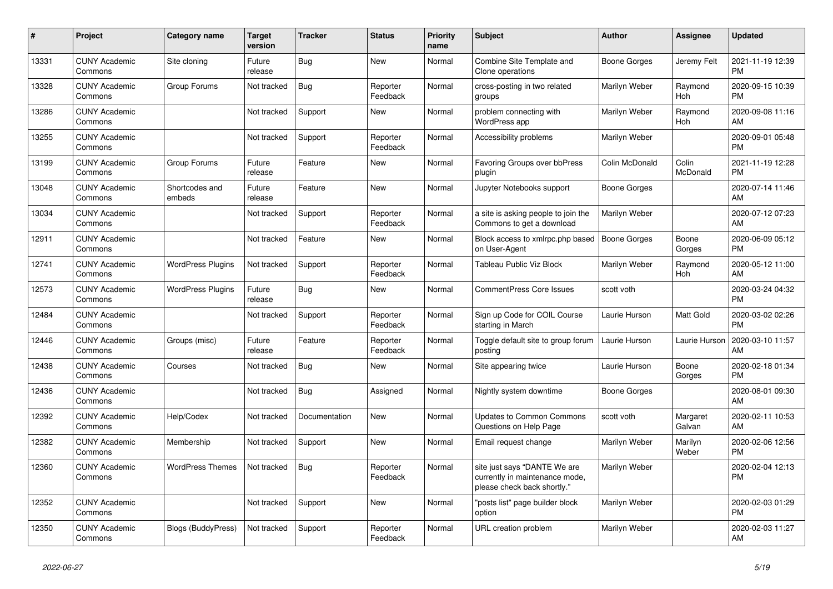| #     | <b>Project</b>                  | <b>Category name</b>      | Target<br>version | <b>Tracker</b> | <b>Status</b>        | <b>Priority</b><br>name | <b>Subject</b>                                                                                | <b>Author</b>       | Assignee           | <b>Updated</b>                |
|-------|---------------------------------|---------------------------|-------------------|----------------|----------------------|-------------------------|-----------------------------------------------------------------------------------------------|---------------------|--------------------|-------------------------------|
| 13331 | <b>CUNY Academic</b><br>Commons | Site cloning              | Future<br>release | Bug            | <b>New</b>           | Normal                  | Combine Site Template and<br>Clone operations                                                 | <b>Boone Gorges</b> | Jeremy Felt        | 2021-11-19 12:39<br><b>PM</b> |
| 13328 | <b>CUNY Academic</b><br>Commons | Group Forums              | Not tracked       | Bug            | Reporter<br>Feedback | Normal                  | cross-posting in two related<br>groups                                                        | Marilyn Weber       | Raymond<br>Hoh     | 2020-09-15 10:39<br><b>PM</b> |
| 13286 | <b>CUNY Academic</b><br>Commons |                           | Not tracked       | Support        | <b>New</b>           | Normal                  | problem connecting with<br><b>WordPress app</b>                                               | Marilyn Weber       | Raymond<br>Hoh     | 2020-09-08 11:16<br>AM        |
| 13255 | <b>CUNY Academic</b><br>Commons |                           | Not tracked       | Support        | Reporter<br>Feedback | Normal                  | Accessibility problems                                                                        | Marilyn Weber       |                    | 2020-09-01 05:48<br><b>PM</b> |
| 13199 | <b>CUNY Academic</b><br>Commons | Group Forums              | Future<br>release | Feature        | New                  | Normal                  | Favoring Groups over bbPress<br>plugin                                                        | Colin McDonald      | Colin<br>McDonald  | 2021-11-19 12:28<br><b>PM</b> |
| 13048 | <b>CUNY Academic</b><br>Commons | Shortcodes and<br>embeds  | Future<br>release | Feature        | <b>New</b>           | Normal                  | Jupyter Notebooks support                                                                     | Boone Gorges        |                    | 2020-07-14 11:46<br>AM        |
| 13034 | <b>CUNY Academic</b><br>Commons |                           | Not tracked       | Support        | Reporter<br>Feedback | Normal                  | a site is asking people to join the<br>Commons to get a download                              | Marilyn Weber       |                    | 2020-07-12 07:23<br>AM        |
| 12911 | <b>CUNY Academic</b><br>Commons |                           | Not tracked       | Feature        | <b>New</b>           | Normal                  | Block access to xmlrpc.php based<br>on User-Agent                                             | <b>Boone Gorges</b> | Boone<br>Gorges    | 2020-06-09 05:12<br><b>PM</b> |
| 12741 | <b>CUNY Academic</b><br>Commons | <b>WordPress Plugins</b>  | Not tracked       | Support        | Reporter<br>Feedback | Normal                  | Tableau Public Viz Block                                                                      | Marilyn Weber       | Raymond<br>Hoh     | 2020-05-12 11:00<br>AM        |
| 12573 | <b>CUNY Academic</b><br>Commons | <b>WordPress Plugins</b>  | Future<br>release | <b>Bug</b>     | <b>New</b>           | Normal                  | <b>CommentPress Core Issues</b>                                                               | scott voth          |                    | 2020-03-24 04:32<br><b>PM</b> |
| 12484 | <b>CUNY Academic</b><br>Commons |                           | Not tracked       | Support        | Reporter<br>Feedback | Normal                  | Sign up Code for COIL Course<br>starting in March                                             | Laurie Hurson       | <b>Matt Gold</b>   | 2020-03-02 02:26<br><b>PM</b> |
| 12446 | <b>CUNY Academic</b><br>Commons | Groups (misc)             | Future<br>release | Feature        | Reporter<br>Feedback | Normal                  | Toggle default site to group forum<br>posting                                                 | Laurie Hurson       | Laurie Hurson      | 2020-03-10 11:57<br>AM        |
| 12438 | <b>CUNY Academic</b><br>Commons | Courses                   | Not tracked       | Bug            | New                  | Normal                  | Site appearing twice                                                                          | Laurie Hurson       | Boone<br>Gorges    | 2020-02-18 01:34<br><b>PM</b> |
| 12436 | <b>CUNY Academic</b><br>Commons |                           | Not tracked       | Bug            | Assigned             | Normal                  | Nightly system downtime                                                                       | Boone Gorges        |                    | 2020-08-01 09:30<br>AM        |
| 12392 | <b>CUNY Academic</b><br>Commons | Help/Codex                | Not tracked       | Documentation  | <b>New</b>           | Normal                  | <b>Updates to Common Commons</b><br>Questions on Help Page                                    | scott voth          | Margaret<br>Galvan | 2020-02-11 10:53<br>AM        |
| 12382 | <b>CUNY Academic</b><br>Commons | Membership                | Not tracked       | Support        | <b>New</b>           | Normal                  | Email request change                                                                          | Marilyn Weber       | Marilyn<br>Weber   | 2020-02-06 12:56<br><b>PM</b> |
| 12360 | <b>CUNY Academic</b><br>Commons | <b>WordPress Themes</b>   | Not tracked       | <b>Bug</b>     | Reporter<br>Feedback | Normal                  | site just says "DANTE We are<br>currently in maintenance mode,<br>please check back shortly." | Marilyn Weber       |                    | 2020-02-04 12:13<br><b>PM</b> |
| 12352 | <b>CUNY Academic</b><br>Commons |                           | Not tracked       | Support        | <b>New</b>           | Normal                  | "posts list" page builder block<br>option                                                     | Marilyn Weber       |                    | 2020-02-03 01:29<br><b>PM</b> |
| 12350 | <b>CUNY Academic</b><br>Commons | <b>Blogs (BuddyPress)</b> | Not tracked       | Support        | Reporter<br>Feedback | Normal                  | URL creation problem                                                                          | Marilyn Weber       |                    | 2020-02-03 11:27<br>AM        |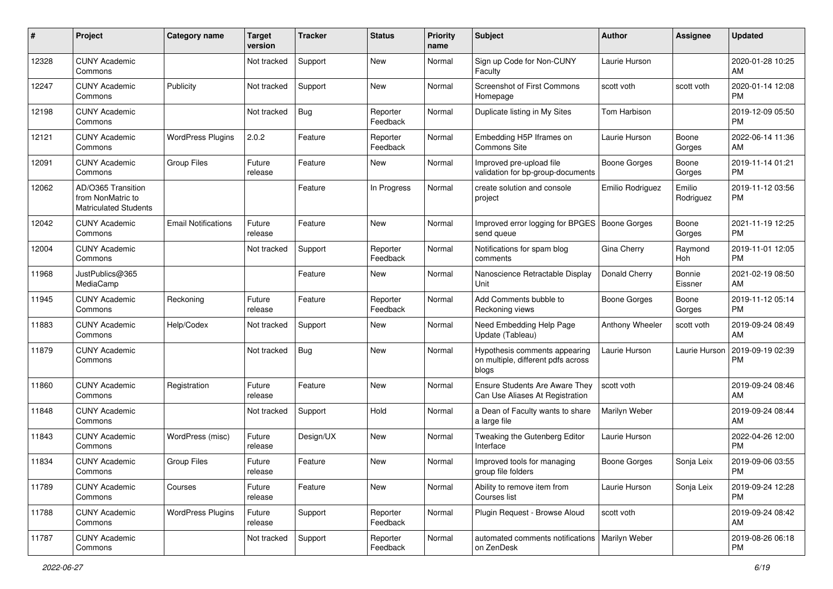| #     | Project                                                                 | <b>Category name</b>       | <b>Target</b><br>version | <b>Tracker</b> | <b>Status</b>        | <b>Priority</b><br>name | <b>Subject</b>                                                               | <b>Author</b>       | <b>Assignee</b>     | <b>Updated</b>                |
|-------|-------------------------------------------------------------------------|----------------------------|--------------------------|----------------|----------------------|-------------------------|------------------------------------------------------------------------------|---------------------|---------------------|-------------------------------|
| 12328 | <b>CUNY Academic</b><br>Commons                                         |                            | Not tracked              | Support        | New                  | Normal                  | Sign up Code for Non-CUNY<br>Faculty                                         | Laurie Hurson       |                     | 2020-01-28 10:25<br>AM        |
| 12247 | <b>CUNY Academic</b><br>Commons                                         | Publicity                  | Not tracked              | Support        | New                  | Normal                  | <b>Screenshot of First Commons</b><br>Homepage                               | scott voth          | scott voth          | 2020-01-14 12:08<br><b>PM</b> |
| 12198 | <b>CUNY Academic</b><br>Commons                                         |                            | Not tracked              | <b>Bug</b>     | Reporter<br>Feedback | Normal                  | Duplicate listing in My Sites                                                | Tom Harbison        |                     | 2019-12-09 05:50<br><b>PM</b> |
| 12121 | <b>CUNY Academic</b><br>Commons                                         | <b>WordPress Plugins</b>   | 2.0.2                    | Feature        | Reporter<br>Feedback | Normal                  | Embedding H5P Iframes on<br>Commons Site                                     | Laurie Hurson       | Boone<br>Gorges     | 2022-06-14 11:36<br>AM        |
| 12091 | <b>CUNY Academic</b><br>Commons                                         | <b>Group Files</b>         | Future<br>release        | Feature        | New                  | Normal                  | Improved pre-upload file<br>validation for bp-group-documents                | Boone Gorges        | Boone<br>Gorges     | 2019-11-14 01:21<br><b>PM</b> |
| 12062 | AD/O365 Transition<br>from NonMatric to<br><b>Matriculated Students</b> |                            |                          | Feature        | In Progress          | Normal                  | create solution and console<br>project                                       | Emilio Rodriguez    | Emilio<br>Rodriguez | 2019-11-12 03:56<br>PM        |
| 12042 | <b>CUNY Academic</b><br>Commons                                         | <b>Email Notifications</b> | Future<br>release        | Feature        | New                  | Normal                  | Improved error logging for BPGES   Boone Gorges<br>send queue                |                     | Boone<br>Gorges     | 2021-11-19 12:25<br><b>PM</b> |
| 12004 | <b>CUNY Academic</b><br>Commons                                         |                            | Not tracked              | Support        | Reporter<br>Feedback | Normal                  | Notifications for spam blog<br>comments                                      | Gina Cherry         | Raymond<br>Hoh      | 2019-11-01 12:05<br><b>PM</b> |
| 11968 | JustPublics@365<br>MediaCamp                                            |                            |                          | Feature        | New                  | Normal                  | Nanoscience Retractable Display<br>Unit                                      | Donald Cherry       | Bonnie<br>Eissner   | 2021-02-19 08:50<br>AM        |
| 11945 | <b>CUNY Academic</b><br>Commons                                         | Reckoning                  | Future<br>release        | Feature        | Reporter<br>Feedback | Normal                  | Add Comments bubble to<br>Reckoning views                                    | <b>Boone Gorges</b> | Boone<br>Gorges     | 2019-11-12 05:14<br><b>PM</b> |
| 11883 | <b>CUNY Academic</b><br>Commons                                         | Help/Codex                 | Not tracked              | Support        | New                  | Normal                  | Need Embedding Help Page<br>Update (Tableau)                                 | Anthony Wheeler     | scott voth          | 2019-09-24 08:49<br>AM        |
| 11879 | <b>CUNY Academic</b><br>Commons                                         |                            | Not tracked              | <b>Bug</b>     | New                  | Normal                  | Hypothesis comments appearing<br>on multiple, different pdfs across<br>blogs | Laurie Hurson       | Laurie Hurson       | 2019-09-19 02:39<br>PM        |
| 11860 | <b>CUNY Academic</b><br>Commons                                         | Registration               | Future<br>release        | Feature        | New                  | Normal                  | Ensure Students Are Aware They<br>Can Use Aliases At Registration            | scott voth          |                     | 2019-09-24 08:46<br>AM        |
| 11848 | <b>CUNY Academic</b><br>Commons                                         |                            | Not tracked              | Support        | Hold                 | Normal                  | a Dean of Faculty wants to share<br>a large file                             | Marilyn Weber       |                     | 2019-09-24 08:44<br>AM        |
| 11843 | <b>CUNY Academic</b><br>Commons                                         | WordPress (misc)           | Future<br>release        | Design/UX      | New                  | Normal                  | Tweaking the Gutenberg Editor<br>Interface                                   | Laurie Hurson       |                     | 2022-04-26 12:00<br><b>PM</b> |
| 11834 | <b>CUNY Academic</b><br>Commons                                         | Group Files                | Future<br>release        | Feature        | New                  | Normal                  | Improved tools for managing<br>group file folders                            | <b>Boone Gorges</b> | Sonja Leix          | 2019-09-06 03:55<br>PM        |
| 11789 | <b>CUNY Academic</b><br>Commons                                         | Courses                    | Future<br>release        | Feature        | New                  | Normal                  | Ability to remove item from<br>Courses list                                  | Laurie Hurson       | Sonja Leix          | 2019-09-24 12:28<br><b>PM</b> |
| 11788 | <b>CUNY Academic</b><br>Commons                                         | <b>WordPress Plugins</b>   | Future<br>release        | Support        | Reporter<br>Feedback | Normal                  | Plugin Request - Browse Aloud                                                | scott voth          |                     | 2019-09-24 08:42<br>AM        |
| 11787 | <b>CUNY Academic</b><br>Commons                                         |                            | Not tracked              | Support        | Reporter<br>Feedback | Normal                  | automated comments notifications   Marilyn Weber<br>on ZenDesk               |                     |                     | 2019-08-26 06:18<br><b>PM</b> |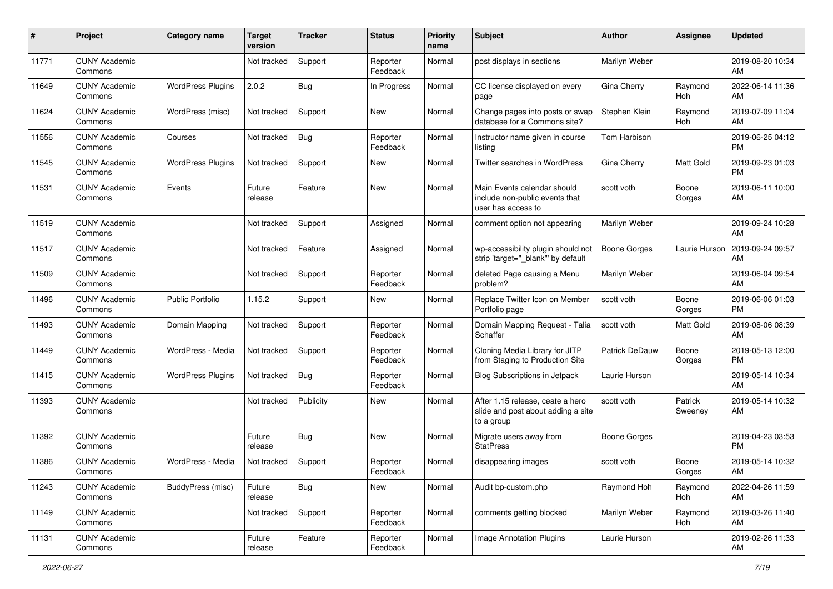| $\#$  | Project                         | <b>Category name</b>     | <b>Target</b><br>version | <b>Tracker</b> | <b>Status</b>        | <b>Priority</b><br>name | <b>Subject</b>                                                                       | <b>Author</b>         | <b>Assignee</b>       | <b>Updated</b>                |
|-------|---------------------------------|--------------------------|--------------------------|----------------|----------------------|-------------------------|--------------------------------------------------------------------------------------|-----------------------|-----------------------|-------------------------------|
| 11771 | <b>CUNY Academic</b><br>Commons |                          | Not tracked              | Support        | Reporter<br>Feedback | Normal                  | post displays in sections                                                            | Marilyn Weber         |                       | 2019-08-20 10:34<br>AM        |
| 11649 | <b>CUNY Academic</b><br>Commons | <b>WordPress Plugins</b> | 2.0.2                    | <b>Bug</b>     | In Progress          | Normal                  | CC license displayed on every<br>page                                                | Gina Cherry           | Raymond<br><b>Hoh</b> | 2022-06-14 11:36<br>AM        |
| 11624 | <b>CUNY Academic</b><br>Commons | WordPress (misc)         | Not tracked              | Support        | New                  | Normal                  | Change pages into posts or swap<br>database for a Commons site?                      | Stephen Klein         | Raymond<br>Hoh        | 2019-07-09 11:04<br>AM        |
| 11556 | <b>CUNY Academic</b><br>Commons | Courses                  | Not tracked              | <b>Bug</b>     | Reporter<br>Feedback | Normal                  | Instructor name given in course<br>listing                                           | Tom Harbison          |                       | 2019-06-25 04:12<br><b>PM</b> |
| 11545 | <b>CUNY Academic</b><br>Commons | <b>WordPress Plugins</b> | Not tracked              | Support        | New                  | Normal                  | Twitter searches in WordPress                                                        | Gina Cherry           | Matt Gold             | 2019-09-23 01:03<br>PM        |
| 11531 | <b>CUNY Academic</b><br>Commons | Events                   | Future<br>release        | Feature        | New                  | Normal                  | Main Events calendar should<br>include non-public events that<br>user has access to  | scott voth            | Boone<br>Gorges       | 2019-06-11 10:00<br>AM        |
| 11519 | <b>CUNY Academic</b><br>Commons |                          | Not tracked              | Support        | Assigned             | Normal                  | comment option not appearing                                                         | Marilyn Weber         |                       | 2019-09-24 10:28<br>AM        |
| 11517 | <b>CUNY Academic</b><br>Commons |                          | Not tracked              | Feature        | Assigned             | Normal                  | wp-accessibility plugin should not<br>strip 'target=" blank" by default              | Boone Gorges          | Laurie Hurson         | 2019-09-24 09:57<br>AM        |
| 11509 | <b>CUNY Academic</b><br>Commons |                          | Not tracked              | Support        | Reporter<br>Feedback | Normal                  | deleted Page causing a Menu<br>problem?                                              | Marilyn Weber         |                       | 2019-06-04 09:54<br>AM        |
| 11496 | <b>CUNY Academic</b><br>Commons | <b>Public Portfolio</b>  | 1.15.2                   | Support        | New                  | Normal                  | Replace Twitter Icon on Member<br>Portfolio page                                     | scott voth            | Boone<br>Gorges       | 2019-06-06 01:03<br><b>PM</b> |
| 11493 | <b>CUNY Academic</b><br>Commons | Domain Mapping           | Not tracked              | Support        | Reporter<br>Feedback | Normal                  | Domain Mapping Request - Talia<br>Schaffer                                           | scott voth            | Matt Gold             | 2019-08-06 08:39<br>AM        |
| 11449 | <b>CUNY Academic</b><br>Commons | WordPress - Media        | Not tracked              | Support        | Reporter<br>Feedback | Normal                  | Cloning Media Library for JITP<br>from Staging to Production Site                    | <b>Patrick DeDauw</b> | Boone<br>Gorges       | 2019-05-13 12:00<br><b>PM</b> |
| 11415 | <b>CUNY Academic</b><br>Commons | <b>WordPress Plugins</b> | Not tracked              | <b>Bug</b>     | Reporter<br>Feedback | Normal                  | <b>Blog Subscriptions in Jetpack</b>                                                 | Laurie Hurson         |                       | 2019-05-14 10:34<br>AM        |
| 11393 | <b>CUNY Academic</b><br>Commons |                          | Not tracked              | Publicity      | New                  | Normal                  | After 1.15 release, ceate a hero<br>slide and post about adding a site<br>to a group | scott voth            | Patrick<br>Sweeney    | 2019-05-14 10:32<br>AM        |
| 11392 | <b>CUNY Academic</b><br>Commons |                          | Future<br>release        | <b>Bug</b>     | New                  | Normal                  | Migrate users away from<br><b>StatPress</b>                                          | <b>Boone Gorges</b>   |                       | 2019-04-23 03:53<br><b>PM</b> |
| 11386 | <b>CUNY Academic</b><br>Commons | WordPress - Media        | Not tracked              | Support        | Reporter<br>Feedback | Normal                  | disappearing images                                                                  | scott voth            | Boone<br>Gorges       | 2019-05-14 10:32<br>AM        |
| 11243 | <b>CUNY Academic</b><br>Commons | BuddyPress (misc)        | Future<br>release        | Bug            | New                  | Normal                  | Audit bp-custom.php                                                                  | Raymond Hoh           | Raymond<br>Hoh        | 2022-04-26 11:59<br>AM        |
| 11149 | <b>CUNY Academic</b><br>Commons |                          | Not tracked              | Support        | Reporter<br>Feedback | Normal                  | comments getting blocked                                                             | Marilyn Weber         | Raymond<br>Hoh        | 2019-03-26 11:40<br>AM        |
| 11131 | <b>CUNY Academic</b><br>Commons |                          | Future<br>release        | Feature        | Reporter<br>Feedback | Normal                  | Image Annotation Plugins                                                             | Laurie Hurson         |                       | 2019-02-26 11:33<br>AM        |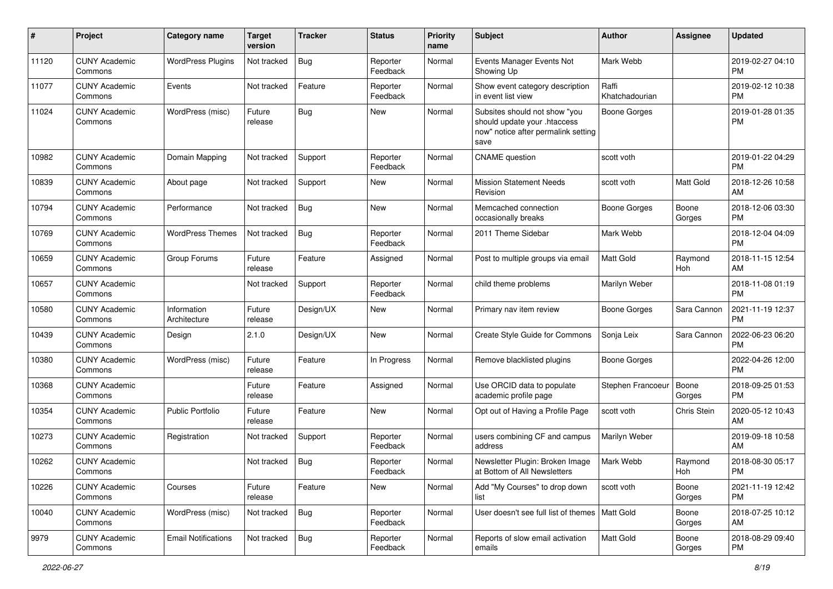| #     | Project                         | <b>Category name</b>        | <b>Target</b><br>version | <b>Tracker</b> | <b>Status</b>        | <b>Priority</b><br>name | Subject                                                                                                      | Author                  | Assignee        | <b>Updated</b>                |
|-------|---------------------------------|-----------------------------|--------------------------|----------------|----------------------|-------------------------|--------------------------------------------------------------------------------------------------------------|-------------------------|-----------------|-------------------------------|
| 11120 | <b>CUNY Academic</b><br>Commons | <b>WordPress Plugins</b>    | Not tracked              | <b>Bug</b>     | Reporter<br>Feedback | Normal                  | Events Manager Events Not<br>Showing Up                                                                      | Mark Webb               |                 | 2019-02-27 04:10<br><b>PM</b> |
| 11077 | <b>CUNY Academic</b><br>Commons | Events                      | Not tracked              | Feature        | Reporter<br>Feedback | Normal                  | Show event category description<br>in event list view                                                        | Raffi<br>Khatchadourian |                 | 2019-02-12 10:38<br><b>PM</b> |
| 11024 | <b>CUNY Academic</b><br>Commons | WordPress (misc)            | Future<br>release        | Bug            | New                  | Normal                  | Subsites should not show "you<br>should update your .htaccess<br>now" notice after permalink setting<br>save | <b>Boone Gorges</b>     |                 | 2019-01-28 01:35<br><b>PM</b> |
| 10982 | <b>CUNY Academic</b><br>Commons | Domain Mapping              | Not tracked              | Support        | Reporter<br>Feedback | Normal                  | <b>CNAME</b> question                                                                                        | scott voth              |                 | 2019-01-22 04:29<br><b>PM</b> |
| 10839 | <b>CUNY Academic</b><br>Commons | About page                  | Not tracked              | Support        | New                  | Normal                  | <b>Mission Statement Needs</b><br>Revision                                                                   | scott voth              | Matt Gold       | 2018-12-26 10:58<br>AM        |
| 10794 | <b>CUNY Academic</b><br>Commons | Performance                 | Not tracked              | Bug            | New                  | Normal                  | Memcached connection<br>occasionally breaks                                                                  | Boone Gorges            | Boone<br>Gorges | 2018-12-06 03:30<br><b>PM</b> |
| 10769 | <b>CUNY Academic</b><br>Commons | <b>WordPress Themes</b>     | Not tracked              | <b>Bug</b>     | Reporter<br>Feedback | Normal                  | 2011 Theme Sidebar                                                                                           | Mark Webb               |                 | 2018-12-04 04:09<br><b>PM</b> |
| 10659 | <b>CUNY Academic</b><br>Commons | Group Forums                | Future<br>release        | Feature        | Assigned             | Normal                  | Post to multiple groups via email                                                                            | <b>Matt Gold</b>        | Raymond<br>Hoh  | 2018-11-15 12:54<br>AM        |
| 10657 | <b>CUNY Academic</b><br>Commons |                             | Not tracked              | Support        | Reporter<br>Feedback | Normal                  | child theme problems                                                                                         | Marilyn Weber           |                 | 2018-11-08 01:19<br><b>PM</b> |
| 10580 | <b>CUNY Academic</b><br>Commons | Information<br>Architecture | Future<br>release        | Design/UX      | <b>New</b>           | Normal                  | Primary nav item review                                                                                      | <b>Boone Gorges</b>     | Sara Cannon     | 2021-11-19 12:37<br>PM        |
| 10439 | <b>CUNY Academic</b><br>Commons | Design                      | 2.1.0                    | Design/UX      | New                  | Normal                  | Create Style Guide for Commons                                                                               | Sonja Leix              | Sara Cannon     | 2022-06-23 06:20<br><b>PM</b> |
| 10380 | <b>CUNY Academic</b><br>Commons | WordPress (misc)            | Future<br>release        | Feature        | In Progress          | Normal                  | Remove blacklisted plugins                                                                                   | <b>Boone Gorges</b>     |                 | 2022-04-26 12:00<br><b>PM</b> |
| 10368 | <b>CUNY Academic</b><br>Commons |                             | Future<br>release        | Feature        | Assigned             | Normal                  | Use ORCID data to populate<br>academic profile page                                                          | Stephen Francoeur       | Boone<br>Gorges | 2018-09-25 01:53<br><b>PM</b> |
| 10354 | <b>CUNY Academic</b><br>Commons | <b>Public Portfolio</b>     | Future<br>release        | Feature        | New                  | Normal                  | Opt out of Having a Profile Page                                                                             | scott voth              | Chris Stein     | 2020-05-12 10:43<br>AM        |
| 10273 | <b>CUNY Academic</b><br>Commons | Registration                | Not tracked              | Support        | Reporter<br>Feedback | Normal                  | users combining CF and campus<br>address                                                                     | Marilyn Weber           |                 | 2019-09-18 10:58<br>AM        |
| 10262 | <b>CUNY Academic</b><br>Commons |                             | Not tracked              | i Bug          | Reporter<br>Feedback | Normal                  | Newsletter Plugin: Broken Image<br>at Bottom of All Newsletters                                              | Mark Webb               | Raymond<br>Hoh  | 2018-08-30 05:17<br>PM        |
| 10226 | <b>CUNY Academic</b><br>Commons | Courses                     | Future<br>release        | Feature        | New                  | Normal                  | Add "My Courses" to drop down<br>list                                                                        | scott voth              | Boone<br>Gorges | 2021-11-19 12:42<br><b>PM</b> |
| 10040 | <b>CUNY Academic</b><br>Commons | WordPress (misc)            | Not tracked              | <b>Bug</b>     | Reporter<br>Feedback | Normal                  | User doesn't see full list of themes   Matt Gold                                                             |                         | Boone<br>Gorges | 2018-07-25 10:12<br>AM        |
| 9979  | <b>CUNY Academic</b><br>Commons | <b>Email Notifications</b>  | Not tracked              | <b>Bug</b>     | Reporter<br>Feedback | Normal                  | Reports of slow email activation<br>emails                                                                   | Matt Gold               | Boone<br>Gorges | 2018-08-29 09:40<br>PM        |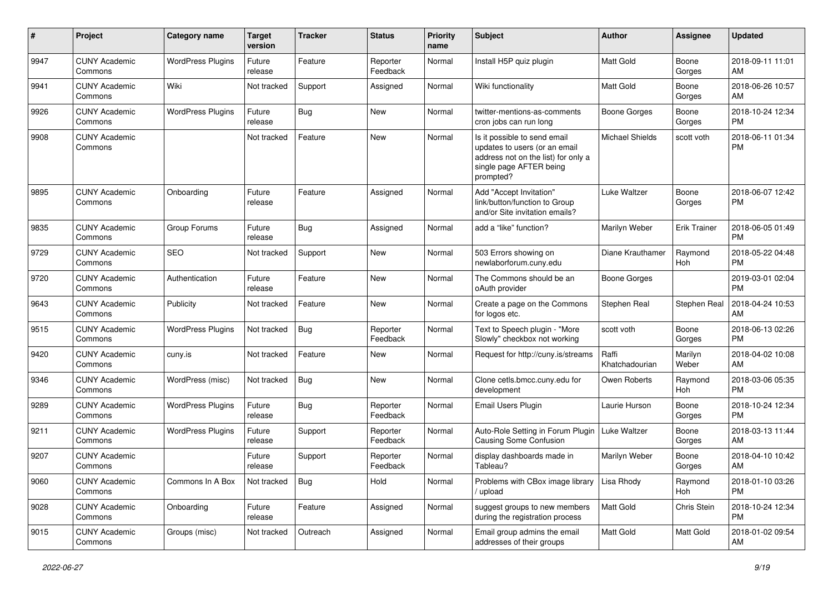| #    | Project                         | <b>Category name</b>     | <b>Target</b><br>version | <b>Tracker</b> | <b>Status</b>        | <b>Priority</b><br>name | <b>Subject</b>                                                                                                                               | Author                  | <b>Assignee</b>  | <b>Updated</b>                |
|------|---------------------------------|--------------------------|--------------------------|----------------|----------------------|-------------------------|----------------------------------------------------------------------------------------------------------------------------------------------|-------------------------|------------------|-------------------------------|
| 9947 | <b>CUNY Academic</b><br>Commons | <b>WordPress Plugins</b> | Future<br>release        | Feature        | Reporter<br>Feedback | Normal                  | Install H5P quiz plugin                                                                                                                      | Matt Gold               | Boone<br>Gorges  | 2018-09-11 11:01<br>AM        |
| 9941 | <b>CUNY Academic</b><br>Commons | Wiki                     | Not tracked              | Support        | Assigned             | Normal                  | Wiki functionality                                                                                                                           | <b>Matt Gold</b>        | Boone<br>Gorges  | 2018-06-26 10:57<br>AM        |
| 9926 | <b>CUNY Academic</b><br>Commons | <b>WordPress Plugins</b> | Future<br>release        | Bug            | New                  | Normal                  | twitter-mentions-as-comments<br>cron jobs can run long                                                                                       | <b>Boone Gorges</b>     | Boone<br>Gorges  | 2018-10-24 12:34<br><b>PM</b> |
| 9908 | <b>CUNY Academic</b><br>Commons |                          | Not tracked              | Feature        | <b>New</b>           | Normal                  | Is it possible to send email<br>updates to users (or an email<br>address not on the list) for only a<br>single page AFTER being<br>prompted? | <b>Michael Shields</b>  | scott voth       | 2018-06-11 01:34<br>РM        |
| 9895 | <b>CUNY Academic</b><br>Commons | Onboarding               | Future<br>release        | Feature        | Assigned             | Normal                  | Add "Accept Invitation"<br>link/button/function to Group<br>and/or Site invitation emails?                                                   | Luke Waltzer            | Boone<br>Gorges  | 2018-06-07 12:42<br><b>PM</b> |
| 9835 | <b>CUNY Academic</b><br>Commons | Group Forums             | Future<br>release        | Bug            | Assigned             | Normal                  | add a "like" function?                                                                                                                       | Marilyn Weber           | Erik Trainer     | 2018-06-05 01:49<br><b>PM</b> |
| 9729 | <b>CUNY Academic</b><br>Commons | <b>SEO</b>               | Not tracked              | Support        | New                  | Normal                  | 503 Errors showing on<br>newlaborforum.cuny.edu                                                                                              | Diane Krauthamer        | Raymond<br>Hoh   | 2018-05-22 04:48<br>РM        |
| 9720 | <b>CUNY Academic</b><br>Commons | Authentication           | Future<br>release        | Feature        | <b>New</b>           | Normal                  | The Commons should be an<br>oAuth provider                                                                                                   | <b>Boone Gorges</b>     |                  | 2019-03-01 02:04<br><b>PM</b> |
| 9643 | <b>CUNY Academic</b><br>Commons | Publicity                | Not tracked              | Feature        | <b>New</b>           | Normal                  | Create a page on the Commons<br>for logos etc.                                                                                               | Stephen Real            | Stephen Real     | 2018-04-24 10:53<br>AM        |
| 9515 | <b>CUNY Academic</b><br>Commons | <b>WordPress Plugins</b> | Not tracked              | Bug            | Reporter<br>Feedback | Normal                  | Text to Speech plugin - "More<br>Slowly" checkbox not working                                                                                | scott voth              | Boone<br>Gorges  | 2018-06-13 02:26<br><b>PM</b> |
| 9420 | <b>CUNY Academic</b><br>Commons | cuny.is                  | Not tracked              | Feature        | New                  | Normal                  | Request for http://cuny.is/streams                                                                                                           | Raffi<br>Khatchadourian | Marilyn<br>Weber | 2018-04-02 10:08<br>AM        |
| 9346 | <b>CUNY Academic</b><br>Commons | WordPress (misc)         | Not tracked              | Bug            | New                  | Normal                  | Clone cetls.bmcc.cuny.edu for<br>development                                                                                                 | Owen Roberts            | Raymond<br>Hoh   | 2018-03-06 05:35<br><b>PM</b> |
| 9289 | <b>CUNY Academic</b><br>Commons | <b>WordPress Plugins</b> | Future<br>release        | <b>Bug</b>     | Reporter<br>Feedback | Normal                  | Email Users Plugin                                                                                                                           | Laurie Hurson           | Boone<br>Gorges  | 2018-10-24 12:34<br><b>PM</b> |
| 9211 | <b>CUNY Academic</b><br>Commons | <b>WordPress Plugins</b> | Future<br>release        | Support        | Reporter<br>Feedback | Normal                  | Auto-Role Setting in Forum Plugin<br>Causing Some Confusion                                                                                  | <b>Luke Waltzer</b>     | Boone<br>Gorges  | 2018-03-13 11:44<br>AM        |
| 9207 | <b>CUNY Academic</b><br>Commons |                          | Future<br>release        | Support        | Reporter<br>Feedback | Normal                  | display dashboards made in<br>Tableau?                                                                                                       | Marilyn Weber           | Boone<br>Gorges  | 2018-04-10 10:42<br>AM        |
| 9060 | <b>CUNY Academic</b><br>Commons | Commons In A Box         | Not tracked              | <b>Bug</b>     | Hold                 | Normal                  | Problems with CBox image library<br>upload                                                                                                   | Lisa Rhody              | Raymond<br>Hoh   | 2018-01-10 03:26<br><b>PM</b> |
| 9028 | <b>CUNY Academic</b><br>Commons | Onboarding               | Future<br>release        | Feature        | Assigned             | Normal                  | suggest groups to new members<br>during the registration process                                                                             | Matt Gold               | Chris Stein      | 2018-10-24 12:34<br><b>PM</b> |
| 9015 | <b>CUNY Academic</b><br>Commons | Groups (misc)            | Not tracked              | Outreach       | Assigned             | Normal                  | Email group admins the email<br>addresses of their groups                                                                                    | Matt Gold               | Matt Gold        | 2018-01-02 09:54<br>AM        |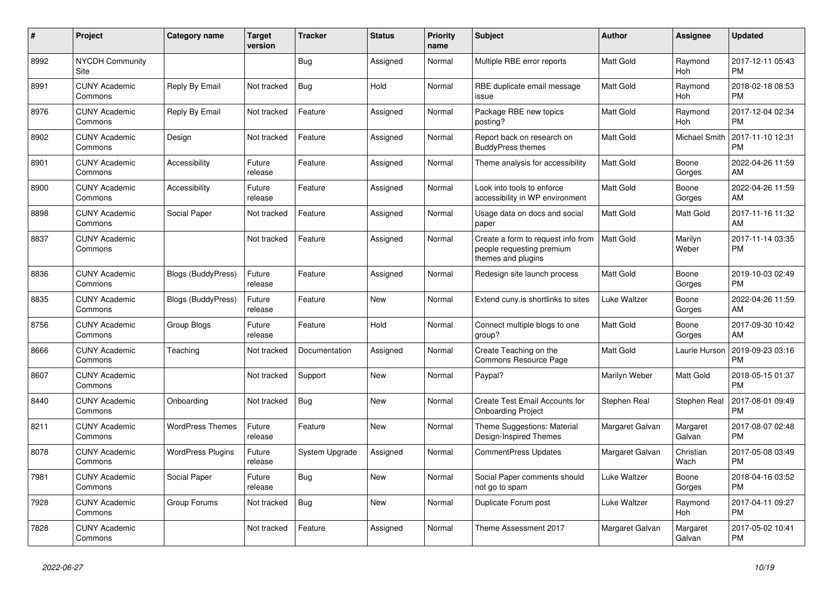| $\#$ | Project                         | <b>Category name</b>      | <b>Target</b><br>version | <b>Tracker</b> | <b>Status</b> | <b>Priority</b><br>name | <b>Subject</b>                                                                        | <b>Author</b>    | <b>Assignee</b>       | <b>Updated</b>                |
|------|---------------------------------|---------------------------|--------------------------|----------------|---------------|-------------------------|---------------------------------------------------------------------------------------|------------------|-----------------------|-------------------------------|
| 8992 | <b>NYCDH Community</b><br>Site  |                           |                          | <b>Bug</b>     | Assigned      | Normal                  | Multiple RBE error reports                                                            | <b>Matt Gold</b> | Raymond<br>Hoh        | 2017-12-11 05:43<br><b>PM</b> |
| 8991 | <b>CUNY Academic</b><br>Commons | Reply By Email            | Not tracked              | Bug            | Hold          | Normal                  | RBE duplicate email message<br>issue                                                  | <b>Matt Gold</b> | Raymond<br>Hoh        | 2018-02-18 08:53<br><b>PM</b> |
| 8976 | <b>CUNY Academic</b><br>Commons | Reply By Email            | Not tracked              | Feature        | Assigned      | Normal                  | Package RBE new topics<br>posting?                                                    | <b>Matt Gold</b> | Raymond<br><b>Hoh</b> | 2017-12-04 02:34<br><b>PM</b> |
| 8902 | <b>CUNY Academic</b><br>Commons | Design                    | Not tracked              | Feature        | Assigned      | Normal                  | Report back on research on<br><b>BuddyPress themes</b>                                | <b>Matt Gold</b> | Michael Smith         | 2017-11-10 12:31<br><b>PM</b> |
| 8901 | <b>CUNY Academic</b><br>Commons | Accessibility             | Future<br>release        | Feature        | Assigned      | Normal                  | Theme analysis for accessibility                                                      | <b>Matt Gold</b> | Boone<br>Gorges       | 2022-04-26 11:59<br>AM        |
| 8900 | <b>CUNY Academic</b><br>Commons | Accessibility             | Future<br>release        | Feature        | Assigned      | Normal                  | Look into tools to enforce<br>accessibility in WP environment                         | <b>Matt Gold</b> | Boone<br>Gorges       | 2022-04-26 11:59<br>AM        |
| 8898 | <b>CUNY Academic</b><br>Commons | Social Paper              | Not tracked              | Feature        | Assigned      | Normal                  | Usage data on docs and social<br>paper                                                | <b>Matt Gold</b> | <b>Matt Gold</b>      | 2017-11-16 11:32<br>AM        |
| 8837 | <b>CUNY Academic</b><br>Commons |                           | Not tracked              | Feature        | Assigned      | Normal                  | Create a form to request info from<br>people requesting premium<br>themes and plugins | <b>Matt Gold</b> | Marilyn<br>Weber      | 2017-11-14 03:35<br>PM        |
| 8836 | <b>CUNY Academic</b><br>Commons | <b>Blogs (BuddyPress)</b> | Future<br>release        | Feature        | Assigned      | Normal                  | Redesign site launch process                                                          | Matt Gold        | Boone<br>Gorges       | 2019-10-03 02:49<br><b>PM</b> |
| 8835 | <b>CUNY Academic</b><br>Commons | <b>Blogs (BuddyPress)</b> | Future<br>release        | Feature        | <b>New</b>    | Normal                  | Extend cuny is shortlinks to sites                                                    | Luke Waltzer     | Boone<br>Gorges       | 2022-04-26 11:59<br>AM        |
| 8756 | <b>CUNY Academic</b><br>Commons | Group Blogs               | Future<br>release        | Feature        | Hold          | Normal                  | Connect multiple blogs to one<br>group?                                               | Matt Gold        | Boone<br>Gorges       | 2017-09-30 10:42<br>AM        |
| 8666 | <b>CUNY Academic</b><br>Commons | Teaching                  | Not tracked              | Documentation  | Assigned      | Normal                  | Create Teaching on the<br><b>Commons Resource Page</b>                                | <b>Matt Gold</b> | Laurie Hurson         | 2019-09-23 03:16<br><b>PM</b> |
| 8607 | <b>CUNY Academic</b><br>Commons |                           | Not tracked              | Support        | <b>New</b>    | Normal                  | Paypal?                                                                               | Marilyn Weber    | Matt Gold             | 2018-05-15 01:37<br><b>PM</b> |
| 8440 | <b>CUNY Academic</b><br>Commons | Onboarding                | Not tracked              | <b>Bug</b>     | <b>New</b>    | Normal                  | Create Test Email Accounts for<br><b>Onboarding Project</b>                           | Stephen Real     | <b>Stephen Real</b>   | 2017-08-01 09:49<br><b>PM</b> |
| 8211 | <b>CUNY Academic</b><br>Commons | <b>WordPress Themes</b>   | Future<br>release        | Feature        | <b>New</b>    | Normal                  | Theme Suggestions: Material<br>Design-Inspired Themes                                 | Margaret Galvan  | Margaret<br>Galvan    | 2017-08-07 02:48<br><b>PM</b> |
| 8078 | <b>CUNY Academic</b><br>Commons | <b>WordPress Plugins</b>  | Future<br>release        | System Upgrade | Assigned      | Normal                  | CommentPress Updates                                                                  | Margaret Galvan  | Christian<br>Wach     | 2017-05-08 03:49<br><b>PM</b> |
| 7981 | <b>CUNY Academic</b><br>Commons | Social Paper              | Future<br>release        | <b>Bug</b>     | <b>New</b>    | Normal                  | Social Paper comments should<br>not go to spam                                        | Luke Waltzer     | Boone<br>Gorges       | 2018-04-16 03:52<br><b>PM</b> |
| 7928 | <b>CUNY Academic</b><br>Commons | Group Forums              | Not tracked              | <b>Bug</b>     | <b>New</b>    | Normal                  | Duplicate Forum post                                                                  | Luke Waltzer     | Raymond<br>Hoh        | 2017-04-11 09:27<br><b>PM</b> |
| 7828 | <b>CUNY Academic</b><br>Commons |                           | Not tracked              | Feature        | Assigned      | Normal                  | Theme Assessment 2017                                                                 | Margaret Galvan  | Margaret<br>Galvan    | 2017-05-02 10:41<br><b>PM</b> |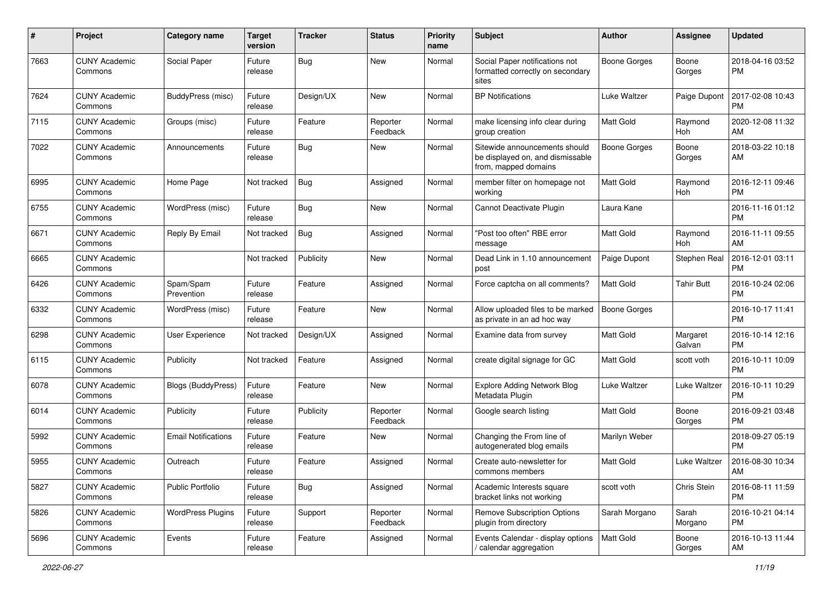| #    | Project                         | <b>Category name</b>       | <b>Target</b><br>version | <b>Tracker</b> | <b>Status</b>        | <b>Priority</b><br>name | Subject                                                                                   | Author              | <b>Assignee</b>       | <b>Updated</b>                |
|------|---------------------------------|----------------------------|--------------------------|----------------|----------------------|-------------------------|-------------------------------------------------------------------------------------------|---------------------|-----------------------|-------------------------------|
| 7663 | <b>CUNY Academic</b><br>Commons | Social Paper               | Future<br>release        | <b>Bug</b>     | New                  | Normal                  | Social Paper notifications not<br>formatted correctly on secondary<br>sites               | <b>Boone Gorges</b> | Boone<br>Gorges       | 2018-04-16 03:52<br>РM        |
| 7624 | <b>CUNY Academic</b><br>Commons | BuddyPress (misc)          | Future<br>release        | Design/UX      | New                  | Normal                  | <b>BP</b> Notifications                                                                   | <b>Luke Waltzer</b> | Paige Dupont          | 2017-02-08 10:43<br>РM        |
| 7115 | <b>CUNY Academic</b><br>Commons | Groups (misc)              | Future<br>release        | Feature        | Reporter<br>Feedback | Normal                  | make licensing info clear during<br>group creation                                        | Matt Gold           | Raymond<br>Hoh        | 2020-12-08 11:32<br>AM        |
| 7022 | <b>CUNY Academic</b><br>Commons | Announcements              | Future<br>release        | Bug            | New                  | Normal                  | Sitewide announcements should<br>be displayed on, and dismissable<br>from, mapped domains | <b>Boone Gorges</b> | Boone<br>Gorges       | 2018-03-22 10:18<br>AM        |
| 6995 | <b>CUNY Academic</b><br>Commons | Home Page                  | Not tracked              | Bug            | Assigned             | Normal                  | member filter on homepage not<br>working                                                  | Matt Gold           | Raymond<br>Hoh        | 2016-12-11 09:46<br>РM        |
| 6755 | <b>CUNY Academic</b><br>Commons | WordPress (misc)           | Future<br>release        | Bug            | New                  | Normal                  | Cannot Deactivate Plugin                                                                  | Laura Kane          |                       | 2016-11-16 01:12<br><b>PM</b> |
| 6671 | <b>CUNY Academic</b><br>Commons | Reply By Email             | Not tracked              | Bug            | Assigned             | Normal                  | "Post too often" RBE error<br>message                                                     | Matt Gold           | Raymond<br><b>Hoh</b> | 2016-11-11 09:55<br>AM        |
| 6665 | <b>CUNY Academic</b><br>Commons |                            | Not tracked              | Publicity      | New                  | Normal                  | Dead Link in 1.10 announcement<br>post                                                    | Paige Dupont        | Stephen Real          | 2016-12-01 03:11<br>РM        |
| 6426 | <b>CUNY Academic</b><br>Commons | Spam/Spam<br>Prevention    | Future<br>release        | Feature        | Assigned             | Normal                  | Force captcha on all comments?                                                            | Matt Gold           | <b>Tahir Butt</b>     | 2016-10-24 02:06<br>РM        |
| 6332 | <b>CUNY Academic</b><br>Commons | WordPress (misc)           | Future<br>release        | Feature        | <b>New</b>           | Normal                  | Allow uploaded files to be marked<br>as private in an ad hoc way                          | <b>Boone Gorges</b> |                       | 2016-10-17 11:41<br><b>PM</b> |
| 6298 | <b>CUNY Academic</b><br>Commons | User Experience            | Not tracked              | Design/UX      | Assigned             | Normal                  | Examine data from survey                                                                  | Matt Gold           | Margaret<br>Galvan    | 2016-10-14 12:16<br><b>PM</b> |
| 6115 | <b>CUNY Academic</b><br>Commons | Publicity                  | Not tracked              | Feature        | Assigned             | Normal                  | create digital signage for GC                                                             | Matt Gold           | scott voth            | 2016-10-11 10:09<br>РM        |
| 6078 | <b>CUNY Academic</b><br>Commons | Blogs (BuddyPress)         | Future<br>release        | Feature        | New                  | Normal                  | <b>Explore Adding Network Blog</b><br>Metadata Plugin                                     | Luke Waltzer        | Luke Waltzer          | 2016-10-11 10:29<br><b>PM</b> |
| 6014 | <b>CUNY Academic</b><br>Commons | Publicity                  | Future<br>release        | Publicity      | Reporter<br>Feedback | Normal                  | Google search listing                                                                     | Matt Gold           | Boone<br>Gorges       | 2016-09-21 03:48<br><b>PM</b> |
| 5992 | <b>CUNY Academic</b><br>Commons | <b>Email Notifications</b> | Future<br>release        | Feature        | New                  | Normal                  | Changing the From line of<br>autogenerated blog emails                                    | Marilyn Weber       |                       | 2018-09-27 05:19<br>PМ        |
| 5955 | <b>CUNY Academic</b><br>Commons | Outreach                   | Future<br>release        | Feature        | Assigned             | Normal                  | Create auto-newsletter for<br>commons members                                             | Matt Gold           | Luke Waltzer          | 2016-08-30 10:34<br>AM        |
| 5827 | <b>CUNY Academic</b><br>Commons | <b>Public Portfolio</b>    | Future<br>release        | Bug            | Assigned             | Normal                  | Academic Interests square<br>bracket links not working                                    | scott voth          | Chris Stein           | 2016-08-11 11:59<br><b>PM</b> |
| 5826 | <b>CUNY Academic</b><br>Commons | <b>WordPress Plugins</b>   | Future<br>release        | Support        | Reporter<br>Feedback | Normal                  | <b>Remove Subscription Options</b><br>plugin from directory                               | Sarah Morgano       | Sarah<br>Morgano      | 2016-10-21 04:14<br><b>PM</b> |
| 5696 | <b>CUNY Academic</b><br>Commons | Events                     | Future<br>release        | Feature        | Assigned             | Normal                  | Events Calendar - display options<br>calendar aggregation                                 | Matt Gold           | Boone<br>Gorges       | 2016-10-13 11:44<br>AM        |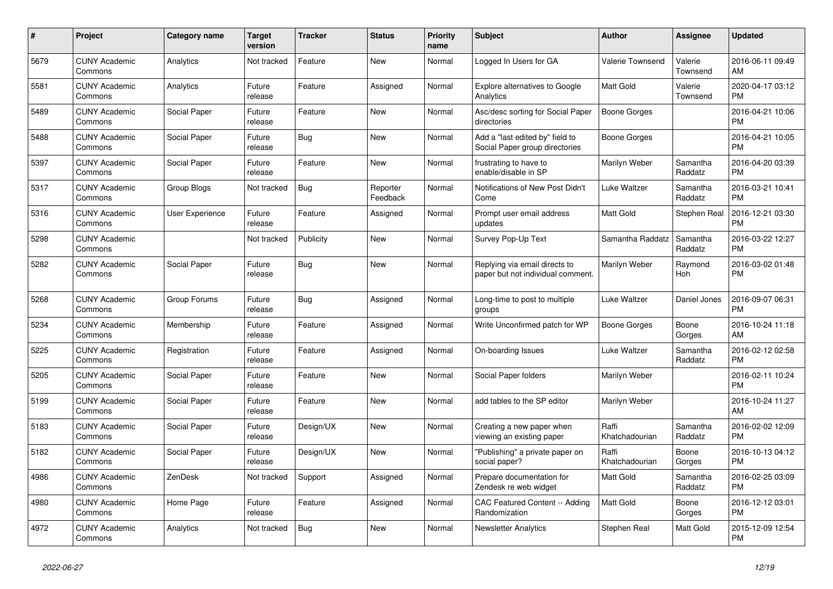| #    | Project                         | Category name          | <b>Target</b><br>version | Tracker    | <b>Status</b>        | <b>Priority</b><br>name | <b>Subject</b>                                                     | <b>Author</b>           | <b>Assignee</b>     | <b>Updated</b>                |
|------|---------------------------------|------------------------|--------------------------|------------|----------------------|-------------------------|--------------------------------------------------------------------|-------------------------|---------------------|-------------------------------|
| 5679 | <b>CUNY Academic</b><br>Commons | Analytics              | Not tracked              | Feature    | <b>New</b>           | Normal                  | Logged In Users for GA                                             | <b>Valerie Townsend</b> | Valerie<br>Townsend | 2016-06-11 09:49<br>AM        |
| 5581 | <b>CUNY Academic</b><br>Commons | Analytics              | Future<br>release        | Feature    | Assigned             | Normal                  | <b>Explore alternatives to Google</b><br>Analytics                 | <b>Matt Gold</b>        | Valerie<br>Townsend | 2020-04-17 03:12<br><b>PM</b> |
| 5489 | <b>CUNY Academic</b><br>Commons | Social Paper           | Future<br>release        | Feature    | <b>New</b>           | Normal                  | Asc/desc sorting for Social Paper<br>directories                   | <b>Boone Gorges</b>     |                     | 2016-04-21 10:06<br><b>PM</b> |
| 5488 | <b>CUNY Academic</b><br>Commons | Social Paper           | Future<br>release        | <b>Bug</b> | <b>New</b>           | Normal                  | Add a "last edited by" field to<br>Social Paper group directories  | Boone Gorges            |                     | 2016-04-21 10:05<br><b>PM</b> |
| 5397 | <b>CUNY Academic</b><br>Commons | Social Paper           | Future<br>release        | Feature    | <b>New</b>           | Normal                  | frustrating to have to<br>enable/disable in SP                     | Marilyn Weber           | Samantha<br>Raddatz | 2016-04-20 03:39<br><b>PM</b> |
| 5317 | <b>CUNY Academic</b><br>Commons | Group Blogs            | Not tracked              | <b>Bug</b> | Reporter<br>Feedback | Normal                  | Notifications of New Post Didn't<br>Come                           | Luke Waltzer            | Samantha<br>Raddatz | 2016-03-21 10:41<br><b>PM</b> |
| 5316 | <b>CUNY Academic</b><br>Commons | <b>User Experience</b> | Future<br>release        | Feature    | Assigned             | Normal                  | Prompt user email address<br>updates                               | <b>Matt Gold</b>        | Stephen Real        | 2016-12-21 03:30<br><b>PM</b> |
| 5298 | <b>CUNY Academic</b><br>Commons |                        | Not tracked              | Publicity  | <b>New</b>           | Normal                  | Survey Pop-Up Text                                                 | Samantha Raddatz        | Samantha<br>Raddatz | 2016-03-22 12:27<br><b>PM</b> |
| 5282 | <b>CUNY Academic</b><br>Commons | Social Paper           | Future<br>release        | <b>Bug</b> | <b>New</b>           | Normal                  | Replying via email directs to<br>paper but not individual comment. | Marilyn Weber           | Raymond<br>Hoh      | 2016-03-02 01:48<br><b>PM</b> |
| 5268 | <b>CUNY Academic</b><br>Commons | Group Forums           | Future<br>release        | <b>Bug</b> | Assigned             | Normal                  | Long-time to post to multiple<br>groups                            | Luke Waltzer            | Daniel Jones        | 2016-09-07 06:31<br><b>PM</b> |
| 5234 | <b>CUNY Academic</b><br>Commons | Membership             | Future<br>release        | Feature    | Assigned             | Normal                  | Write Unconfirmed patch for WP                                     | Boone Gorges            | Boone<br>Gorges     | 2016-10-24 11:18<br>AM        |
| 5225 | <b>CUNY Academic</b><br>Commons | Registration           | Future<br>release        | Feature    | Assigned             | Normal                  | On-boarding Issues                                                 | Luke Waltzer            | Samantha<br>Raddatz | 2016-02-12 02:58<br><b>PM</b> |
| 5205 | <b>CUNY Academic</b><br>Commons | Social Paper           | Future<br>release        | Feature    | <b>New</b>           | Normal                  | Social Paper folders                                               | Marilyn Weber           |                     | 2016-02-11 10:24<br><b>PM</b> |
| 5199 | <b>CUNY Academic</b><br>Commons | Social Paper           | Future<br>release        | Feature    | <b>New</b>           | Normal                  | add tables to the SP editor                                        | Marilyn Weber           |                     | 2016-10-24 11:27<br>AM        |
| 5183 | <b>CUNY Academic</b><br>Commons | Social Paper           | Future<br>release        | Design/UX  | <b>New</b>           | Normal                  | Creating a new paper when<br>viewing an existing paper             | Raffi<br>Khatchadourian | Samantha<br>Raddatz | 2016-02-02 12:09<br><b>PM</b> |
| 5182 | <b>CUNY Academic</b><br>Commons | Social Paper           | Future<br>release        | Design/UX  | <b>New</b>           | Normal                  | 'Publishing" a private paper on<br>social paper?                   | Raffi<br>Khatchadourian | Boone<br>Gorges     | 2016-10-13 04:12<br><b>PM</b> |
| 4986 | <b>CUNY Academic</b><br>Commons | ZenDesk                | Not tracked              | Support    | Assigned             | Normal                  | Prepare documentation for<br>Zendesk re web widget                 | Matt Gold               | Samantha<br>Raddatz | 2016-02-25 03:09<br><b>PM</b> |
| 4980 | <b>CUNY Academic</b><br>Commons | Home Page              | Future<br>release        | Feature    | Assigned             | Normal                  | CAC Featured Content -- Adding<br>Randomization                    | <b>Matt Gold</b>        | Boone<br>Gorges     | 2016-12-12 03:01<br><b>PM</b> |
| 4972 | <b>CUNY Academic</b><br>Commons | Analytics              | Not tracked              | Bug        | <b>New</b>           | Normal                  | <b>Newsletter Analytics</b>                                        | Stephen Real            | <b>Matt Gold</b>    | 2015-12-09 12:54<br><b>PM</b> |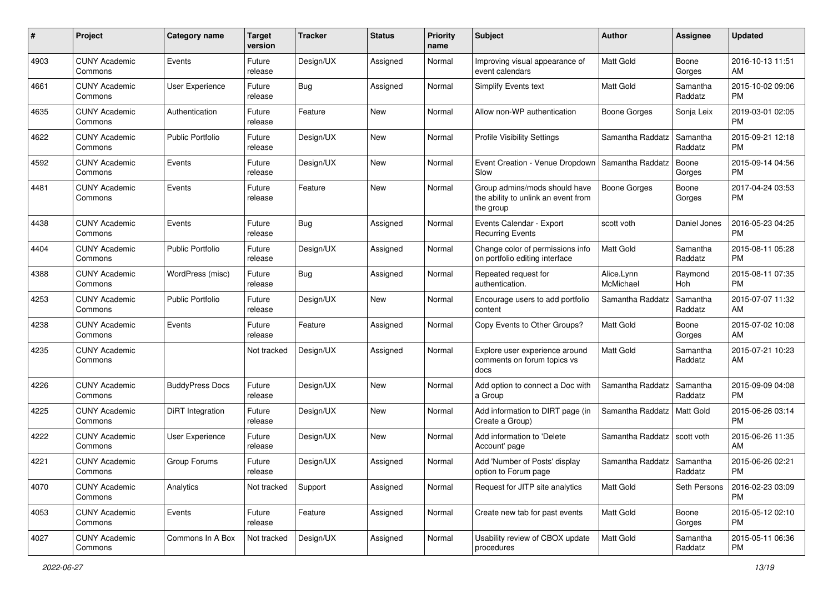| #    | Project                         | <b>Category name</b>    | <b>Target</b><br>version | <b>Tracker</b> | <b>Status</b> | <b>Priority</b><br>name | Subject                                                                           | Author                  | Assignee            | <b>Updated</b>                |
|------|---------------------------------|-------------------------|--------------------------|----------------|---------------|-------------------------|-----------------------------------------------------------------------------------|-------------------------|---------------------|-------------------------------|
| 4903 | <b>CUNY Academic</b><br>Commons | Events                  | Future<br>release        | Design/UX      | Assigned      | Normal                  | Improving visual appearance of<br>event calendars                                 | <b>Matt Gold</b>        | Boone<br>Gorges     | 2016-10-13 11:51<br>AM        |
| 4661 | <b>CUNY Academic</b><br>Commons | <b>User Experience</b>  | Future<br>release        | <b>Bug</b>     | Assigned      | Normal                  | Simplify Events text                                                              | Matt Gold               | Samantha<br>Raddatz | 2015-10-02 09:06<br><b>PM</b> |
| 4635 | <b>CUNY Academic</b><br>Commons | Authentication          | Future<br>release        | Feature        | New           | Normal                  | Allow non-WP authentication                                                       | <b>Boone Gorges</b>     | Sonja Leix          | 2019-03-01 02:05<br><b>PM</b> |
| 4622 | <b>CUNY Academic</b><br>Commons | <b>Public Portfolio</b> | Future<br>release        | Design/UX      | <b>New</b>    | Normal                  | <b>Profile Visibility Settings</b>                                                | Samantha Raddatz        | Samantha<br>Raddatz | 2015-09-21 12:18<br><b>PM</b> |
| 4592 | <b>CUNY Academic</b><br>Commons | Events                  | Future<br>release        | Design/UX      | New           | Normal                  | Event Creation - Venue Dropdown<br>Slow                                           | Samantha Raddatz        | Boone<br>Gorges     | 2015-09-14 04:56<br><b>PM</b> |
| 4481 | <b>CUNY Academic</b><br>Commons | Events                  | Future<br>release        | Feature        | <b>New</b>    | Normal                  | Group admins/mods should have<br>the ability to unlink an event from<br>the group | <b>Boone Gorges</b>     | Boone<br>Gorges     | 2017-04-24 03:53<br><b>PM</b> |
| 4438 | <b>CUNY Academic</b><br>Commons | Events                  | Future<br>release        | Bug            | Assigned      | Normal                  | Events Calendar - Export<br><b>Recurring Events</b>                               | scott voth              | Daniel Jones        | 2016-05-23 04:25<br><b>PM</b> |
| 4404 | <b>CUNY Academic</b><br>Commons | <b>Public Portfolio</b> | Future<br>release        | Design/UX      | Assigned      | Normal                  | Change color of permissions info<br>on portfolio editing interface                | Matt Gold               | Samantha<br>Raddatz | 2015-08-11 05:28<br><b>PM</b> |
| 4388 | <b>CUNY Academic</b><br>Commons | WordPress (misc)        | Future<br>release        | Bug            | Assigned      | Normal                  | Repeated request for<br>authentication.                                           | Alice.Lynn<br>McMichael | Raymond<br>Hoh      | 2015-08-11 07:35<br><b>PM</b> |
| 4253 | <b>CUNY Academic</b><br>Commons | <b>Public Portfolio</b> | Future<br>release        | Design/UX      | New           | Normal                  | Encourage users to add portfolio<br>content                                       | Samantha Raddatz        | Samantha<br>Raddatz | 2015-07-07 11:32<br>AM        |
| 4238 | <b>CUNY Academic</b><br>Commons | Events                  | Future<br>release        | Feature        | Assigned      | Normal                  | Copy Events to Other Groups?                                                      | Matt Gold               | Boone<br>Gorges     | 2015-07-02 10:08<br>AM        |
| 4235 | <b>CUNY Academic</b><br>Commons |                         | Not tracked              | Design/UX      | Assigned      | Normal                  | Explore user experience around<br>comments on forum topics vs<br>docs             | Matt Gold               | Samantha<br>Raddatz | 2015-07-21 10:23<br>AM        |
| 4226 | <b>CUNY Academic</b><br>Commons | <b>BuddyPress Docs</b>  | Future<br>release        | Design/UX      | <b>New</b>    | Normal                  | Add option to connect a Doc with<br>a Group                                       | Samantha Raddatz        | Samantha<br>Raddatz | 2015-09-09 04:08<br><b>PM</b> |
| 4225 | <b>CUNY Academic</b><br>Commons | DiRT Integration        | Future<br>release        | Design/UX      | <b>New</b>    | Normal                  | Add information to DIRT page (in<br>Create a Group)                               | Samantha Raddatz        | <b>Matt Gold</b>    | 2015-06-26 03:14<br><b>PM</b> |
| 4222 | <b>CUNY Academic</b><br>Commons | User Experience         | Future<br>release        | Design/UX      | New           | Normal                  | Add information to 'Delete<br>Account' page                                       | Samantha Raddatz        | scott voth          | 2015-06-26 11:35<br>AM        |
| 4221 | <b>CUNY Academic</b><br>Commons | Group Forums            | Future<br>release        | Design/UX      | Assigned      | Normal                  | Add 'Number of Posts' display<br>option to Forum page                             | Samantha Raddatz        | Samantha<br>Raddatz | 2015-06-26 02:21<br>PM        |
| 4070 | <b>CUNY Academic</b><br>Commons | Analytics               | Not tracked              | Support        | Assigned      | Normal                  | Request for JITP site analytics                                                   | Matt Gold               | Seth Persons        | 2016-02-23 03:09<br>PM        |
| 4053 | <b>CUNY Academic</b><br>Commons | Events                  | Future<br>release        | Feature        | Assigned      | Normal                  | Create new tab for past events                                                    | Matt Gold               | Boone<br>Gorges     | 2015-05-12 02:10<br><b>PM</b> |
| 4027 | <b>CUNY Academic</b><br>Commons | Commons In A Box        | Not tracked              | Design/UX      | Assigned      | Normal                  | Usability review of CBOX update<br>procedures                                     | Matt Gold               | Samantha<br>Raddatz | 2015-05-11 06:36<br>PM        |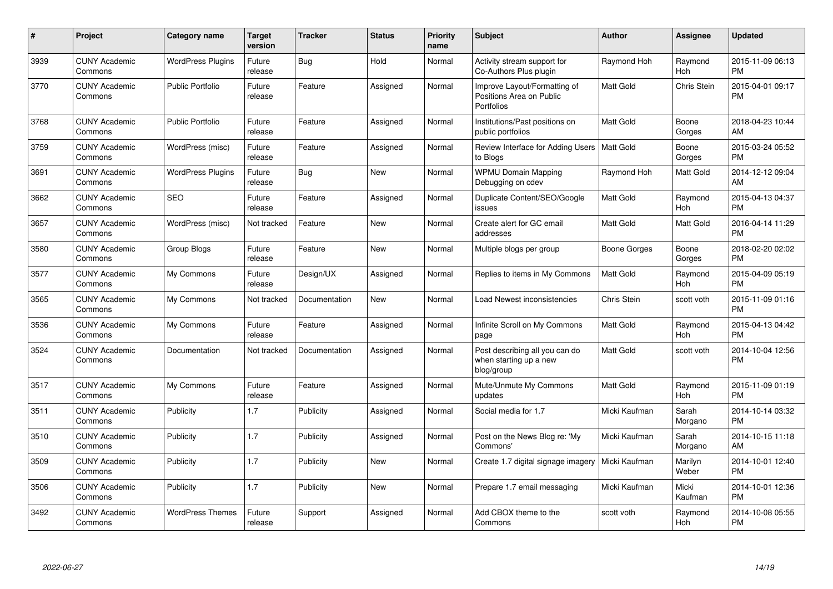| #    | Project                         | <b>Category name</b>     | Target<br>version | <b>Tracker</b> | <b>Status</b> | <b>Priority</b><br>name | <b>Subject</b>                                                         | <b>Author</b>    | <b>Assignee</b>  | <b>Updated</b>                |
|------|---------------------------------|--------------------------|-------------------|----------------|---------------|-------------------------|------------------------------------------------------------------------|------------------|------------------|-------------------------------|
| 3939 | <b>CUNY Academic</b><br>Commons | <b>WordPress Plugins</b> | Future<br>release | Bug            | Hold          | Normal                  | Activity stream support for<br>Co-Authors Plus plugin                  | Raymond Hoh      | Raymond<br>Hoh   | 2015-11-09 06:13<br><b>PM</b> |
| 3770 | <b>CUNY Academic</b><br>Commons | <b>Public Portfolio</b>  | Future<br>release | Feature        | Assigned      | Normal                  | Improve Layout/Formatting of<br>Positions Area on Public<br>Portfolios | <b>Matt Gold</b> | Chris Stein      | 2015-04-01 09:17<br><b>PM</b> |
| 3768 | <b>CUNY Academic</b><br>Commons | <b>Public Portfolio</b>  | Future<br>release | Feature        | Assigned      | Normal                  | Institutions/Past positions on<br>public portfolios                    | Matt Gold        | Boone<br>Gorges  | 2018-04-23 10:44<br>AM        |
| 3759 | <b>CUNY Academic</b><br>Commons | WordPress (misc)         | Future<br>release | Feature        | Assigned      | Normal                  | Review Interface for Adding Users   Matt Gold<br>to Blogs              |                  | Boone<br>Gorges  | 2015-03-24 05:52<br><b>PM</b> |
| 3691 | <b>CUNY Academic</b><br>Commons | <b>WordPress Plugins</b> | Future<br>release | Bug            | <b>New</b>    | Normal                  | <b>WPMU Domain Mapping</b><br>Debugging on cdev                        | Raymond Hoh      | <b>Matt Gold</b> | 2014-12-12 09:04<br>AM        |
| 3662 | <b>CUNY Academic</b><br>Commons | <b>SEO</b>               | Future<br>release | Feature        | Assigned      | Normal                  | Duplicate Content/SEO/Google<br>issues                                 | Matt Gold        | Raymond<br>Hoh   | 2015-04-13 04:37<br><b>PM</b> |
| 3657 | <b>CUNY Academic</b><br>Commons | WordPress (misc)         | Not tracked       | Feature        | <b>New</b>    | Normal                  | Create alert for GC email<br>addresses                                 | Matt Gold        | <b>Matt Gold</b> | 2016-04-14 11:29<br><b>PM</b> |
| 3580 | <b>CUNY Academic</b><br>Commons | Group Blogs              | Future<br>release | Feature        | <b>New</b>    | Normal                  | Multiple blogs per group                                               | Boone Gorges     | Boone<br>Gorges  | 2018-02-20 02:02<br><b>PM</b> |
| 3577 | <b>CUNY Academic</b><br>Commons | My Commons               | Future<br>release | Design/UX      | Assigned      | Normal                  | Replies to items in My Commons                                         | <b>Matt Gold</b> | Raymond<br>Hoh   | 2015-04-09 05:19<br><b>PM</b> |
| 3565 | <b>CUNY Academic</b><br>Commons | My Commons               | Not tracked       | Documentation  | New           | Normal                  | Load Newest inconsistencies                                            | Chris Stein      | scott voth       | 2015-11-09 01:16<br><b>PM</b> |
| 3536 | <b>CUNY Academic</b><br>Commons | My Commons               | Future<br>release | Feature        | Assigned      | Normal                  | Infinite Scroll on My Commons<br>page                                  | Matt Gold        | Raymond<br>Hoh   | 2015-04-13 04:42<br><b>PM</b> |
| 3524 | <b>CUNY Academic</b><br>Commons | Documentation            | Not tracked       | Documentation  | Assigned      | Normal                  | Post describing all you can do<br>when starting up a new<br>blog/group | <b>Matt Gold</b> | scott voth       | 2014-10-04 12:56<br><b>PM</b> |
| 3517 | <b>CUNY Academic</b><br>Commons | My Commons               | Future<br>release | Feature        | Assigned      | Normal                  | Mute/Unmute My Commons<br>updates                                      | Matt Gold        | Raymond<br>Hoh   | 2015-11-09 01:19<br><b>PM</b> |
| 3511 | <b>CUNY Academic</b><br>Commons | Publicity                | 1.7               | Publicity      | Assigned      | Normal                  | Social media for 1.7                                                   | Micki Kaufman    | Sarah<br>Morgano | 2014-10-14 03:32<br><b>PM</b> |
| 3510 | <b>CUNY Academic</b><br>Commons | Publicity                | 1.7               | Publicity      | Assigned      | Normal                  | Post on the News Blog re: 'My<br>Commons'                              | Micki Kaufman    | Sarah<br>Morgano | 2014-10-15 11:18<br>AM        |
| 3509 | <b>CUNY Academic</b><br>Commons | Publicity                | 1.7               | Publicity      | <b>New</b>    | Normal                  | Create 1.7 digital signage imagery                                     | Micki Kaufman    | Marilyn<br>Weber | 2014-10-01 12:40<br><b>PM</b> |
| 3506 | <b>CUNY Academic</b><br>Commons | Publicity                | 1.7               | Publicity      | New           | Normal                  | Prepare 1.7 email messaging                                            | Micki Kaufman    | Micki<br>Kaufman | 2014-10-01 12:36<br><b>PM</b> |
| 3492 | <b>CUNY Academic</b><br>Commons | <b>WordPress Themes</b>  | Future<br>release | Support        | Assigned      | Normal                  | Add CBOX theme to the<br>Commons                                       | scott voth       | Raymond<br>Hoh   | 2014-10-08 05:55<br><b>PM</b> |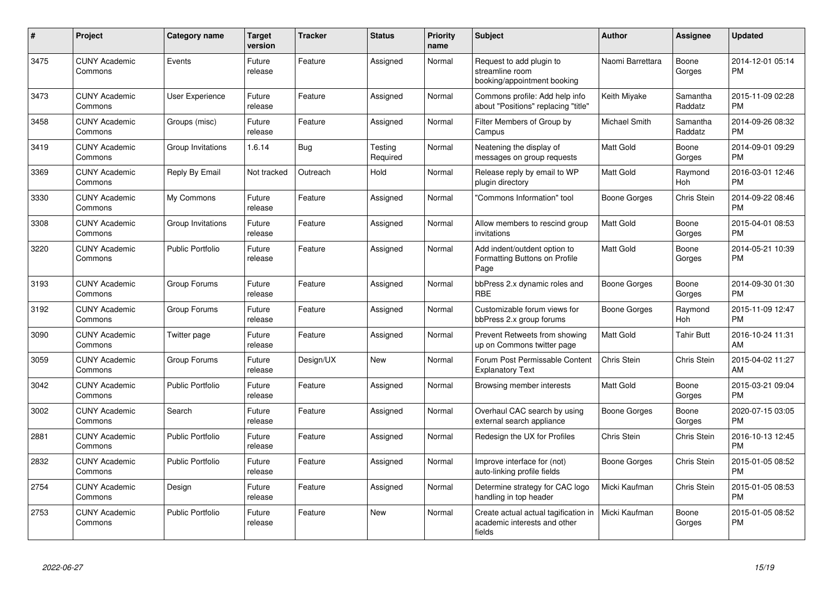| #    | Project                         | <b>Category name</b>    | <b>Target</b><br>version | <b>Tracker</b> | <b>Status</b>       | <b>Priority</b><br>name | <b>Subject</b>                                                                 | <b>Author</b>    | Assignee            | <b>Updated</b>                |
|------|---------------------------------|-------------------------|--------------------------|----------------|---------------------|-------------------------|--------------------------------------------------------------------------------|------------------|---------------------|-------------------------------|
| 3475 | <b>CUNY Academic</b><br>Commons | Events                  | Future<br>release        | Feature        | Assigned            | Normal                  | Request to add plugin to<br>streamline room<br>booking/appointment booking     | Naomi Barrettara | Boone<br>Gorges     | 2014-12-01 05:14<br><b>PM</b> |
| 3473 | <b>CUNY Academic</b><br>Commons | <b>User Experience</b>  | Future<br>release        | Feature        | Assigned            | Normal                  | Commons profile: Add help info<br>about "Positions" replacing "title"          | Keith Miyake     | Samantha<br>Raddatz | 2015-11-09 02:28<br><b>PM</b> |
| 3458 | <b>CUNY Academic</b><br>Commons | Groups (misc)           | Future<br>release        | Feature        | Assigned            | Normal                  | Filter Members of Group by<br>Campus                                           | Michael Smith    | Samantha<br>Raddatz | 2014-09-26 08:32<br><b>PM</b> |
| 3419 | <b>CUNY Academic</b><br>Commons | Group Invitations       | 1.6.14                   | <b>Bug</b>     | Testing<br>Required | Normal                  | Neatening the display of<br>messages on group requests                         | <b>Matt Gold</b> | Boone<br>Gorges     | 2014-09-01 09:29<br><b>PM</b> |
| 3369 | <b>CUNY Academic</b><br>Commons | Reply By Email          | Not tracked              | Outreach       | Hold                | Normal                  | Release reply by email to WP<br>plugin directory                               | Matt Gold        | Raymond<br>Hoh      | 2016-03-01 12:46<br><b>PM</b> |
| 3330 | <b>CUNY Academic</b><br>Commons | My Commons              | Future<br>release        | Feature        | Assigned            | Normal                  | "Commons Information" tool                                                     | Boone Gorges     | Chris Stein         | 2014-09-22 08:46<br><b>PM</b> |
| 3308 | <b>CUNY Academic</b><br>Commons | Group Invitations       | Future<br>release        | Feature        | Assigned            | Normal                  | Allow members to rescind group<br>invitations                                  | Matt Gold        | Boone<br>Gorges     | 2015-04-01 08:53<br><b>PM</b> |
| 3220 | <b>CUNY Academic</b><br>Commons | <b>Public Portfolio</b> | Future<br>release        | Feature        | Assigned            | Normal                  | Add indent/outdent option to<br>Formatting Buttons on Profile<br>Page          | <b>Matt Gold</b> | Boone<br>Gorges     | 2014-05-21 10:39<br><b>PM</b> |
| 3193 | <b>CUNY Academic</b><br>Commons | Group Forums            | Future<br>release        | Feature        | Assigned            | Normal                  | bbPress 2.x dynamic roles and<br><b>RBE</b>                                    | Boone Gorges     | Boone<br>Gorges     | 2014-09-30 01:30<br><b>PM</b> |
| 3192 | <b>CUNY Academic</b><br>Commons | Group Forums            | Future<br>release        | Feature        | Assigned            | Normal                  | Customizable forum views for<br>bbPress 2.x group forums                       | Boone Gorges     | Raymond<br>Hoh      | 2015-11-09 12:47<br><b>PM</b> |
| 3090 | <b>CUNY Academic</b><br>Commons | Twitter page            | Future<br>release        | Feature        | Assigned            | Normal                  | Prevent Retweets from showing<br>up on Commons twitter page                    | <b>Matt Gold</b> | <b>Tahir Butt</b>   | 2016-10-24 11:31<br>AM        |
| 3059 | <b>CUNY Academic</b><br>Commons | Group Forums            | Future<br>release        | Design/UX      | <b>New</b>          | Normal                  | Forum Post Permissable Content<br><b>Explanatory Text</b>                      | Chris Stein      | Chris Stein         | 2015-04-02 11:27<br>AM        |
| 3042 | <b>CUNY Academic</b><br>Commons | <b>Public Portfolio</b> | Future<br>release        | Feature        | Assigned            | Normal                  | Browsing member interests                                                      | Matt Gold        | Boone<br>Gorges     | 2015-03-21 09:04<br><b>PM</b> |
| 3002 | <b>CUNY Academic</b><br>Commons | Search                  | Future<br>release        | Feature        | Assigned            | Normal                  | Overhaul CAC search by using<br>external search appliance                      | Boone Gorges     | Boone<br>Gorges     | 2020-07-15 03:05<br><b>PM</b> |
| 2881 | <b>CUNY Academic</b><br>Commons | <b>Public Portfolio</b> | Future<br>release        | Feature        | Assigned            | Normal                  | Redesign the UX for Profiles                                                   | Chris Stein      | Chris Stein         | 2016-10-13 12:45<br><b>PM</b> |
| 2832 | <b>CUNY Academic</b><br>Commons | <b>Public Portfolio</b> | Future<br>release        | Feature        | Assigned            | Normal                  | Improve interface for (not)<br>auto-linking profile fields                     | Boone Gorges     | Chris Stein         | 2015-01-05 08:52<br><b>PM</b> |
| 2754 | <b>CUNY Academic</b><br>Commons | Design                  | Future<br>release        | Feature        | Assigned            | Normal                  | Determine strategy for CAC logo<br>handling in top header                      | Micki Kaufman    | Chris Stein         | 2015-01-05 08:53<br><b>PM</b> |
| 2753 | <b>CUNY Academic</b><br>Commons | <b>Public Portfolio</b> | Future<br>release        | Feature        | <b>New</b>          | Normal                  | Create actual actual tagification in<br>academic interests and other<br>fields | Micki Kaufman    | Boone<br>Gorges     | 2015-01-05 08:52<br><b>PM</b> |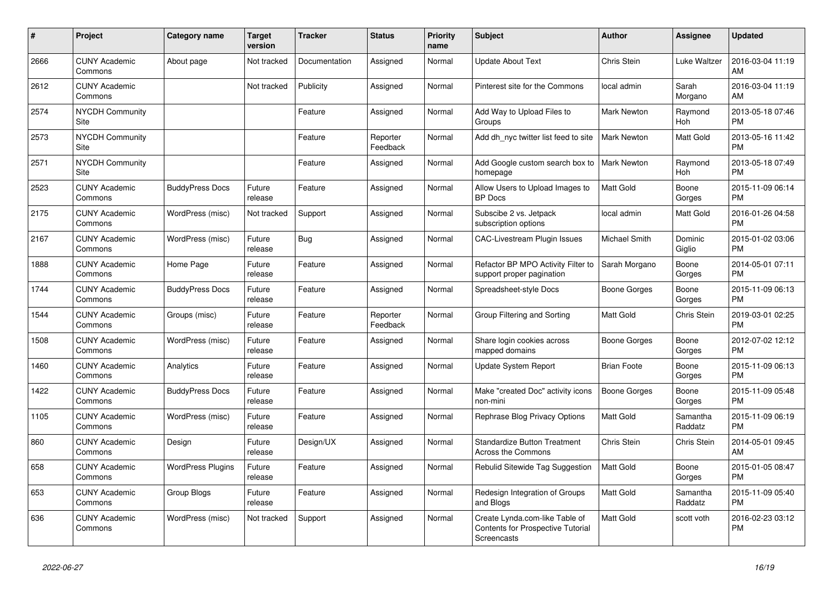| #    | <b>Project</b>                  | <b>Category name</b>     | <b>Target</b><br>version | <b>Tracker</b> | <b>Status</b>        | <b>Priority</b><br>name | <b>Subject</b>                                                                            | <b>Author</b>       | Assignee              | <b>Updated</b>                |
|------|---------------------------------|--------------------------|--------------------------|----------------|----------------------|-------------------------|-------------------------------------------------------------------------------------------|---------------------|-----------------------|-------------------------------|
| 2666 | <b>CUNY Academic</b><br>Commons | About page               | Not tracked              | Documentation  | Assigned             | Normal                  | <b>Update About Text</b>                                                                  | <b>Chris Stein</b>  | Luke Waltzer          | 2016-03-04 11:19<br>AM        |
| 2612 | <b>CUNY Academic</b><br>Commons |                          | Not tracked              | Publicity      | Assigned             | Normal                  | Pinterest site for the Commons                                                            | local admin         | Sarah<br>Morgano      | 2016-03-04 11:19<br>AM        |
| 2574 | <b>NYCDH Community</b><br>Site  |                          |                          | Feature        | Assigned             | Normal                  | Add Way to Upload Files to<br>Groups                                                      | Mark Newton         | Raymond<br><b>Hoh</b> | 2013-05-18 07:46<br><b>PM</b> |
| 2573 | <b>NYCDH Community</b><br>Site  |                          |                          | Feature        | Reporter<br>Feedback | Normal                  | Add dh nyc twitter list feed to site                                                      | <b>Mark Newton</b>  | Matt Gold             | 2013-05-16 11:42<br><b>PM</b> |
| 2571 | <b>NYCDH Community</b><br>Site  |                          |                          | Feature        | Assigned             | Normal                  | Add Google custom search box to<br>homepage                                               | <b>Mark Newton</b>  | Raymond<br>Hoh        | 2013-05-18 07:49<br><b>PM</b> |
| 2523 | <b>CUNY Academic</b><br>Commons | <b>BuddyPress Docs</b>   | Future<br>release        | Feature        | Assigned             | Normal                  | Allow Users to Upload Images to<br><b>BP</b> Docs                                         | Matt Gold           | Boone<br>Gorges       | 2015-11-09 06:14<br><b>PM</b> |
| 2175 | <b>CUNY Academic</b><br>Commons | WordPress (misc)         | Not tracked              | Support        | Assigned             | Normal                  | Subscibe 2 vs. Jetpack<br>subscription options                                            | local admin         | <b>Matt Gold</b>      | 2016-01-26 04:58<br><b>PM</b> |
| 2167 | <b>CUNY Academic</b><br>Commons | WordPress (misc)         | Future<br>release        | Bug            | Assigned             | Normal                  | <b>CAC-Livestream Plugin Issues</b>                                                       | Michael Smith       | Dominic<br>Giglio     | 2015-01-02 03:06<br><b>PM</b> |
| 1888 | <b>CUNY Academic</b><br>Commons | Home Page                | Future<br>release        | Feature        | Assigned             | Normal                  | Refactor BP MPO Activity Filter to<br>support proper pagination                           | Sarah Morgano       | Boone<br>Gorges       | 2014-05-01 07:11<br><b>PM</b> |
| 1744 | <b>CUNY Academic</b><br>Commons | <b>BuddyPress Docs</b>   | Future<br>release        | Feature        | Assigned             | Normal                  | Spreadsheet-style Docs                                                                    | Boone Gorges        | Boone<br>Gorges       | 2015-11-09 06:13<br><b>PM</b> |
| 1544 | <b>CUNY Academic</b><br>Commons | Groups (misc)            | Future<br>release        | Feature        | Reporter<br>Feedback | Normal                  | Group Filtering and Sorting                                                               | Matt Gold           | Chris Stein           | 2019-03-01 02:25<br><b>PM</b> |
| 1508 | <b>CUNY Academic</b><br>Commons | WordPress (misc)         | Future<br>release        | Feature        | Assigned             | Normal                  | Share login cookies across<br>mapped domains                                              | Boone Gorges        | Boone<br>Gorges       | 2012-07-02 12:12<br><b>PM</b> |
| 1460 | <b>CUNY Academic</b><br>Commons | Analytics                | Future<br>release        | Feature        | Assigned             | Normal                  | Update System Report                                                                      | <b>Brian Foote</b>  | Boone<br>Gorges       | 2015-11-09 06:13<br><b>PM</b> |
| 1422 | <b>CUNY Academic</b><br>Commons | <b>BuddyPress Docs</b>   | Future<br>release        | Feature        | Assigned             | Normal                  | Make "created Doc" activity icons<br>non-mini                                             | <b>Boone Gorges</b> | Boone<br>Gorges       | 2015-11-09 05:48<br><b>PM</b> |
| 1105 | <b>CUNY Academic</b><br>Commons | WordPress (misc)         | Future<br>release        | Feature        | Assigned             | Normal                  | Rephrase Blog Privacy Options                                                             | Matt Gold           | Samantha<br>Raddatz   | 2015-11-09 06:19<br><b>PM</b> |
| 860  | <b>CUNY Academic</b><br>Commons | Design                   | Future<br>release        | Design/UX      | Assigned             | Normal                  | Standardize Button Treatment<br>Across the Commons                                        | <b>Chris Stein</b>  | Chris Stein           | 2014-05-01 09:45<br>AM        |
| 658  | <b>CUNY Academic</b><br>Commons | <b>WordPress Plugins</b> | Future<br>release        | Feature        | Assigned             | Normal                  | Rebulid Sitewide Tag Suggestion                                                           | <b>Matt Gold</b>    | Boone<br>Gorges       | 2015-01-05 08:47<br><b>PM</b> |
| 653  | <b>CUNY Academic</b><br>Commons | Group Blogs              | Future<br>release        | Feature        | Assigned             | Normal                  | Redesign Integration of Groups<br>and Blogs                                               | Matt Gold           | Samantha<br>Raddatz   | 2015-11-09 05:40<br><b>PM</b> |
| 636  | <b>CUNY Academic</b><br>Commons | WordPress (misc)         | Not tracked              | Support        | Assigned             | Normal                  | Create Lynda.com-like Table of<br><b>Contents for Prospective Tutorial</b><br>Screencasts | <b>Matt Gold</b>    | scott voth            | 2016-02-23 03:12<br><b>PM</b> |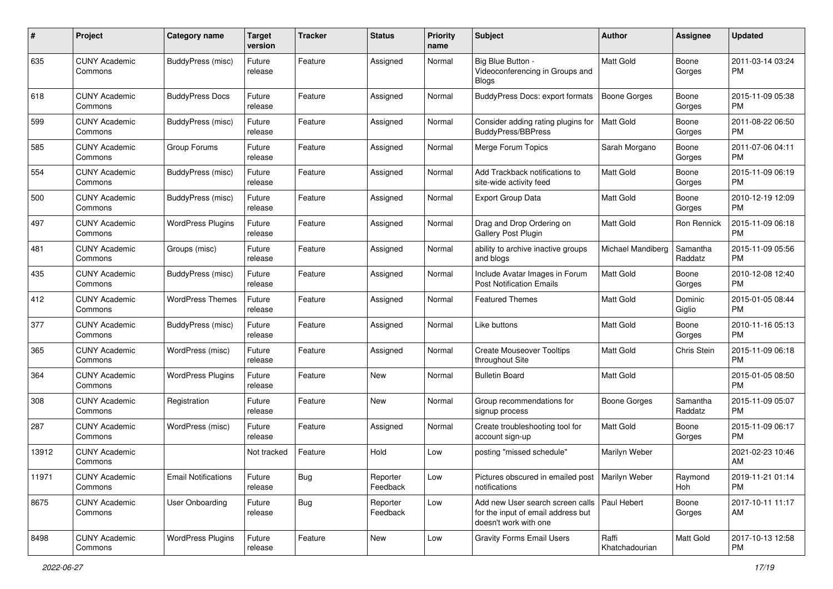| #     | Project                         | <b>Category name</b>       | <b>Target</b><br>version | <b>Tracker</b> | <b>Status</b>        | <b>Priority</b><br>name | Subject                                                                                                       | Author                  | <b>Assignee</b>     | <b>Updated</b>                |
|-------|---------------------------------|----------------------------|--------------------------|----------------|----------------------|-------------------------|---------------------------------------------------------------------------------------------------------------|-------------------------|---------------------|-------------------------------|
| 635   | <b>CUNY Academic</b><br>Commons | BuddyPress (misc)          | Future<br>release        | Feature        | Assigned             | Normal                  | Big Blue Button -<br>Videoconferencing in Groups and<br><b>Blogs</b>                                          | <b>Matt Gold</b>        | Boone<br>Gorges     | 2011-03-14 03:24<br>PM        |
| 618   | <b>CUNY Academic</b><br>Commons | <b>BuddyPress Docs</b>     | Future<br>release        | Feature        | Assigned             | Normal                  | <b>BuddyPress Docs: export formats</b>                                                                        | <b>Boone Gorges</b>     | Boone<br>Gorges     | 2015-11-09 05:38<br>PM.       |
| 599   | <b>CUNY Academic</b><br>Commons | BuddyPress (misc)          | Future<br>release        | Feature        | Assigned             | Normal                  | Consider adding rating plugins for<br><b>BuddyPress/BBPress</b>                                               | Matt Gold               | Boone<br>Gorges     | 2011-08-22 06:50<br><b>PM</b> |
| 585   | <b>CUNY Academic</b><br>Commons | Group Forums               | Future<br>release        | Feature        | Assigned             | Normal                  | Merge Forum Topics                                                                                            | Sarah Morgano           | Boone<br>Gorges     | 2011-07-06 04:11<br><b>PM</b> |
| 554   | <b>CUNY Academic</b><br>Commons | BuddyPress (misc)          | Future<br>release        | Feature        | Assigned             | Normal                  | Add Trackback notifications to<br>site-wide activity feed                                                     | Matt Gold               | Boone<br>Gorges     | 2015-11-09 06:19<br><b>PM</b> |
| 500   | <b>CUNY Academic</b><br>Commons | BuddyPress (misc)          | Future<br>release        | Feature        | Assigned             | Normal                  | <b>Export Group Data</b>                                                                                      | <b>Matt Gold</b>        | Boone<br>Gorges     | 2010-12-19 12:09<br><b>PM</b> |
| 497   | <b>CUNY Academic</b><br>Commons | <b>WordPress Plugins</b>   | Future<br>release        | Feature        | Assigned             | Normal                  | Drag and Drop Ordering on<br>Gallery Post Plugin                                                              | Matt Gold               | Ron Rennick         | 2015-11-09 06:18<br><b>PM</b> |
| 481   | <b>CUNY Academic</b><br>Commons | Groups (misc)              | Future<br>release        | Feature        | Assigned             | Normal                  | ability to archive inactive groups<br>and blogs                                                               | Michael Mandiberg       | Samantha<br>Raddatz | 2015-11-09 05:56<br><b>PM</b> |
| 435   | <b>CUNY Academic</b><br>Commons | BuddyPress (misc)          | Future<br>release        | Feature        | Assigned             | Normal                  | Include Avatar Images in Forum<br><b>Post Notification Emails</b>                                             | Matt Gold               | Boone<br>Gorges     | 2010-12-08 12:40<br>PM        |
| 412   | <b>CUNY Academic</b><br>Commons | <b>WordPress Themes</b>    | Future<br>release        | Feature        | Assigned             | Normal                  | Featured Themes                                                                                               | Matt Gold               | Dominic<br>Giglio   | 2015-01-05 08:44<br><b>PM</b> |
| 377   | <b>CUNY Academic</b><br>Commons | BuddyPress (misc)          | Future<br>release        | Feature        | Assigned             | Normal                  | Like buttons                                                                                                  | <b>Matt Gold</b>        | Boone<br>Gorges     | 2010-11-16 05:13<br><b>PM</b> |
| 365   | <b>CUNY Academic</b><br>Commons | WordPress (misc)           | Future<br>release        | Feature        | Assigned             | Normal                  | <b>Create Mouseover Tooltips</b><br>throughout Site                                                           | Matt Gold               | Chris Stein         | 2015-11-09 06:18<br><b>PM</b> |
| 364   | <b>CUNY Academic</b><br>Commons | <b>WordPress Plugins</b>   | Future<br>release        | Feature        | <b>New</b>           | Normal                  | <b>Bulletin Board</b>                                                                                         | <b>Matt Gold</b>        |                     | 2015-01-05 08:50<br><b>PM</b> |
| 308   | <b>CUNY Academic</b><br>Commons | Registration               | Future<br>release        | Feature        | <b>New</b>           | Normal                  | Group recommendations for<br>signup process                                                                   | <b>Boone Gorges</b>     | Samantha<br>Raddatz | 2015-11-09 05:07<br><b>PM</b> |
| 287   | <b>CUNY Academic</b><br>Commons | WordPress (misc)           | Future<br>release        | Feature        | Assigned             | Normal                  | Create troubleshooting tool for<br>account sign-up                                                            | Matt Gold               | Boone<br>Gorges     | 2015-11-09 06:17<br><b>PM</b> |
| 13912 | <b>CUNY Academic</b><br>Commons |                            | Not tracked              | Feature        | Hold                 | Low                     | posting "missed schedule"                                                                                     | Marilyn Weber           |                     | 2021-02-23 10:46<br>AM        |
| 11971 | <b>CUNY Academic</b><br>Commons | <b>Email Notifications</b> | Future<br>release        | <b>Bug</b>     | Reporter<br>Feedback | Low                     | Pictures obscured in emailed post   Marilyn Weber<br>notifications                                            |                         | Raymond<br>Hoh      | 2019-11-21 01:14<br><b>PM</b> |
| 8675  | <b>CUNY Academic</b><br>Commons | User Onboarding            | Future<br>release        | <b>Bug</b>     | Reporter<br>Feedback | Low                     | Add new User search screen calls   Paul Hebert<br>for the input of email address but<br>doesn't work with one |                         | Boone<br>Gorges     | 2017-10-11 11:17<br>AM        |
| 8498  | <b>CUNY Academic</b><br>Commons | <b>WordPress Plugins</b>   | Future<br>release        | Feature        | New                  | Low                     | <b>Gravity Forms Email Users</b>                                                                              | Raffi<br>Khatchadourian | Matt Gold           | 2017-10-13 12:58<br><b>PM</b> |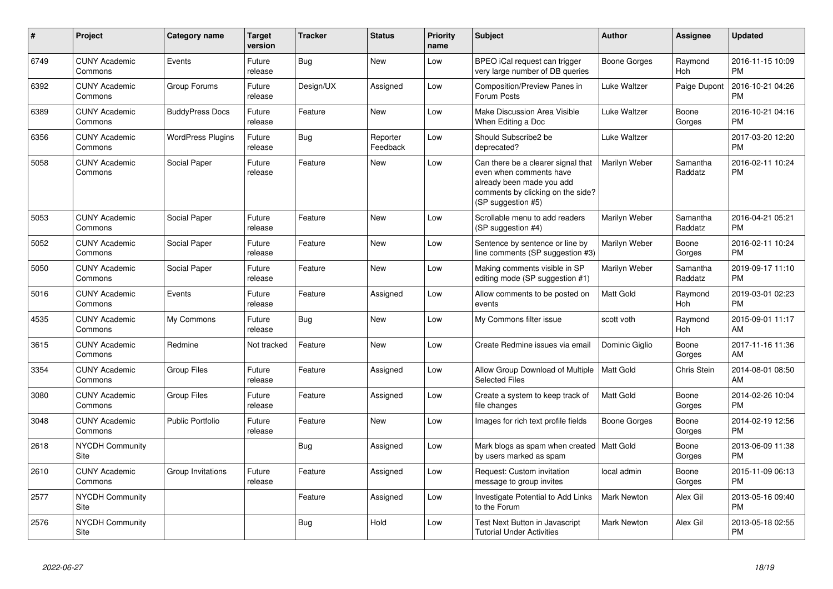| #    | Project                         | <b>Category name</b>     | <b>Target</b><br>version | <b>Tracker</b> | <b>Status</b>        | Priority<br>name | Subject                                                                                                                                               | <b>Author</b>       | <b>Assignee</b>       | <b>Updated</b>                |
|------|---------------------------------|--------------------------|--------------------------|----------------|----------------------|------------------|-------------------------------------------------------------------------------------------------------------------------------------------------------|---------------------|-----------------------|-------------------------------|
| 6749 | <b>CUNY Academic</b><br>Commons | Events                   | Future<br>release        | <b>Bug</b>     | <b>New</b>           | Low              | BPEO iCal request can trigger<br>very large number of DB queries                                                                                      | <b>Boone Gorges</b> | Raymond<br>Hoh        | 2016-11-15 10:09<br><b>PM</b> |
| 6392 | <b>CUNY Academic</b><br>Commons | Group Forums             | Future<br>release        | Design/UX      | Assigned             | Low              | <b>Composition/Preview Panes in</b><br>Forum Posts                                                                                                    | <b>Luke Waltzer</b> | Paige Dupont          | 2016-10-21 04:26<br><b>PM</b> |
| 6389 | <b>CUNY Academic</b><br>Commons | <b>BuddyPress Docs</b>   | Future<br>release        | Feature        | <b>New</b>           | Low              | Make Discussion Area Visible<br>When Editing a Doc                                                                                                    | <b>Luke Waltzer</b> | Boone<br>Gorges       | 2016-10-21 04:16<br><b>PM</b> |
| 6356 | <b>CUNY Academic</b><br>Commons | <b>WordPress Plugins</b> | Future<br>release        | <b>Bug</b>     | Reporter<br>Feedback | Low              | Should Subscribe2 be<br>deprecated?                                                                                                                   | <b>Luke Waltzer</b> |                       | 2017-03-20 12:20<br><b>PM</b> |
| 5058 | <b>CUNY Academic</b><br>Commons | Social Paper             | Future<br>release        | Feature        | New                  | Low              | Can there be a clearer signal that<br>even when comments have<br>already been made you add<br>comments by clicking on the side?<br>(SP suggestion #5) | Marilyn Weber       | Samantha<br>Raddatz   | 2016-02-11 10:24<br><b>PM</b> |
| 5053 | <b>CUNY Academic</b><br>Commons | Social Paper             | Future<br>release        | Feature        | <b>New</b>           | Low              | Scrollable menu to add readers<br>(SP suggestion #4)                                                                                                  | Marilyn Weber       | Samantha<br>Raddatz   | 2016-04-21 05:21<br><b>PM</b> |
| 5052 | <b>CUNY Academic</b><br>Commons | Social Paper             | Future<br>release        | Feature        | New                  | Low              | Sentence by sentence or line by<br>line comments (SP suggestion #3)                                                                                   | Marilyn Weber       | Boone<br>Gorges       | 2016-02-11 10:24<br><b>PM</b> |
| 5050 | <b>CUNY Academic</b><br>Commons | Social Paper             | Future<br>release        | Feature        | New                  | Low              | Making comments visible in SP<br>editing mode (SP suggestion #1)                                                                                      | Marilyn Weber       | Samantha<br>Raddatz   | 2019-09-17 11:10<br><b>PM</b> |
| 5016 | <b>CUNY Academic</b><br>Commons | Events                   | Future<br>release        | Feature        | Assigned             | Low              | Allow comments to be posted on<br>events                                                                                                              | Matt Gold           | Raymond<br><b>Hoh</b> | 2019-03-01 02:23<br><b>PM</b> |
| 4535 | <b>CUNY Academic</b><br>Commons | My Commons               | Future<br>release        | <b>Bug</b>     | <b>New</b>           | Low              | My Commons filter issue                                                                                                                               | scott voth          | Raymond<br><b>Hoh</b> | 2015-09-01 11:17<br>AM        |
| 3615 | <b>CUNY Academic</b><br>Commons | Redmine                  | Not tracked              | Feature        | <b>New</b>           | Low              | Create Redmine issues via email                                                                                                                       | Dominic Giglio      | Boone<br>Gorges       | 2017-11-16 11:36<br>AM        |
| 3354 | <b>CUNY Academic</b><br>Commons | <b>Group Files</b>       | Future<br>release        | Feature        | Assigned             | Low              | Allow Group Download of Multiple<br><b>Selected Files</b>                                                                                             | Matt Gold           | Chris Stein           | 2014-08-01 08:50<br>AM        |
| 3080 | <b>CUNY Academic</b><br>Commons | <b>Group Files</b>       | Future<br>release        | Feature        | Assigned             | Low              | Create a system to keep track of<br>file changes                                                                                                      | Matt Gold           | Boone<br>Gorges       | 2014-02-26 10:04<br><b>PM</b> |
| 3048 | <b>CUNY Academic</b><br>Commons | Public Portfolio         | Future<br>release        | Feature        | New                  | Low              | Images for rich text profile fields                                                                                                                   | <b>Boone Gorges</b> | Boone<br>Gorges       | 2014-02-19 12:56<br><b>PM</b> |
| 2618 | <b>NYCDH Community</b><br>Site  |                          |                          | Bug            | Assigned             | Low              | Mark blogs as spam when created   Matt Gold<br>by users marked as spam                                                                                |                     | Boone<br>Gorges       | 2013-06-09 11:38<br><b>PM</b> |
| 2610 | <b>CUNY Academic</b><br>Commons | Group Invitations        | Future<br>release        | Feature        | Assigned             | Low              | Request: Custom invitation<br>message to group invites                                                                                                | local admin         | Boone<br>Gorges       | 2015-11-09 06:13<br><b>PM</b> |
| 2577 | <b>NYCDH Community</b><br>Site  |                          |                          | Feature        | Assigned             | Low              | Investigate Potential to Add Links<br>to the Forum                                                                                                    | <b>Mark Newton</b>  | Alex Gil              | 2013-05-16 09:40<br><b>PM</b> |
| 2576 | <b>NYCDH Community</b><br>Site  |                          |                          | <b>Bug</b>     | Hold                 | Low              | Test Next Button in Javascript<br><b>Tutorial Under Activities</b>                                                                                    | <b>Mark Newton</b>  | Alex Gil              | 2013-05-18 02:55<br>PM        |